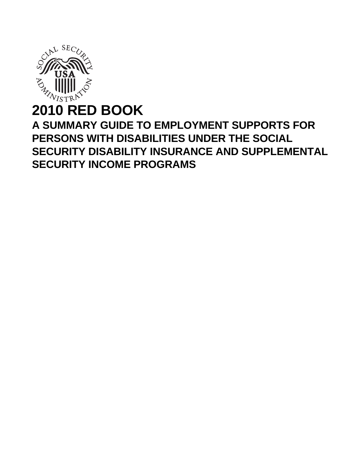

# **2010 RED BOOK A SUMMARY GUIDE TO EMPLOYMENT SUPPORTS FOR PERSONS WITH DISABILITIES UNDER THE SOCIAL SECURITY DISABILITY INSURANCE AND SUPPLEMENTAL SECURITY INCOME PROGRAMS**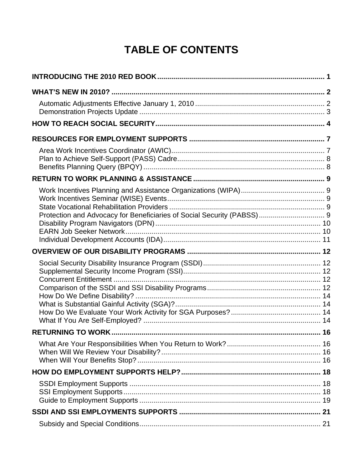# **TABLE OF CONTENTS**

| Protection and Advocacy for Beneficiaries of Social Security (PABSS) 9 |  |
|------------------------------------------------------------------------|--|
|                                                                        |  |
|                                                                        |  |
|                                                                        |  |
|                                                                        |  |
|                                                                        |  |
|                                                                        |  |
|                                                                        |  |
|                                                                        |  |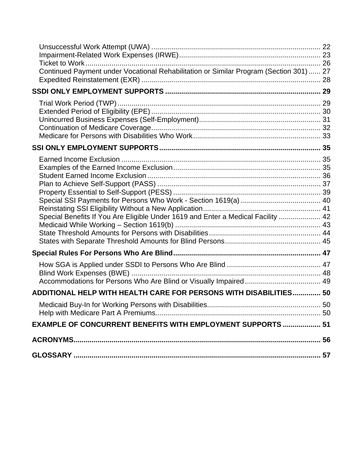| Continued Payment under Vocational Rehabilitation or Similar Program (Section 301)  27 |  |
|----------------------------------------------------------------------------------------|--|
|                                                                                        |  |
|                                                                                        |  |
|                                                                                        |  |
| Special Benefits If You Are Eligible Under 1619 and Enter a Medical Facility  42       |  |
| ADDITIONAL HELP WITH HEALTH CARE FOR PERSONS WITH DISABILITIES 50                      |  |
|                                                                                        |  |
| EXAMPLE OF CONCURRENT BENEFITS WITH EMPLOYMENT SUPPORTS  51                            |  |
|                                                                                        |  |
|                                                                                        |  |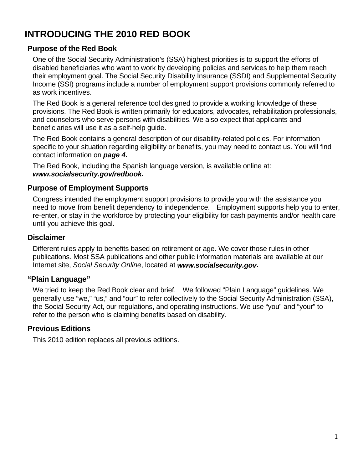# <span id="page-4-0"></span>**INTRODUCING THE 2010 RED BOOK**

# **Purpose of the Red Book**

One of the Social Security Administration's (SSA) highest priorities is to support the efforts of disabled beneficiaries who want to work by developing policies and services to help them reach their employment goal. The Social Security Disability Insurance (SSDI) and Supplemental Security Income (SSI) programs include a number of employment support provisions commonly referred to as work incentives.

The Red Book is a general reference tool designed to provide a working knowledge of these provisions. The Red Book is written primarily for educators, advocates, rehabilitation professionals, and counselors who serve persons with disabilities. We also expect that applicants and beneficiaries will use it as a self-help guide.

The Red Book contains a general description of our disability-related policies. For information specific to your situation regarding eligibility or benefits, you may need to contact us. You will find contact information on *page 4***.**

The Red Book, including the Spanish language version, is available online at: *[www.socialsecurity.gov/redbook](http://www.socialsecurity.gov/redbook)***.**

# **Purpose of Employment Supports**

Congress intended the employment support provisions to provide you with the assistance you need to move from benefit dependency to independence. Employment supports help you to enter, re-enter, or stay in the workforce by protecting your eligibility for cash payments and/or health care until you achieve this goal.

## **Disclaimer**

Different rules apply to benefits based on retirement or age. We cover those rules in other publications. Most SSA publications and other public information materials are available at our Internet site, *Social Security Online*, located at *[www.socialsecurity.gov](http://www.socialsecurity.gov/)***.**

# **"Plain Language"**

We tried to keep the Red Book clear and brief. We followed "Plain Language" guidelines. We generally use "we," "us," and "our" to refer collectively to the Social Security Administration (SSA), the Social Security Act, our regulations, and operating instructions. We use "you" and "your" to refer to the person who is claiming benefits based on disability.

# **Previous Editions**

This 2010 edition replaces all previous editions.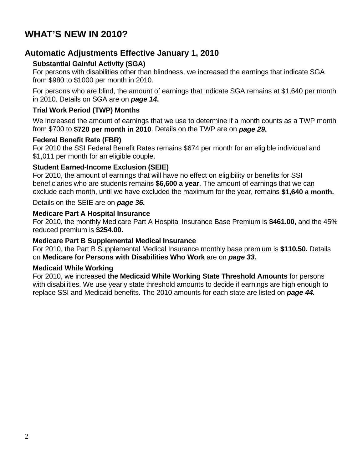# <span id="page-5-0"></span>**WHAT'S NEW IN 2010?**

# **Automatic Adjustments Effective January 1, 2010**

## **Substantial Gainful Activity (SGA)**

For persons with disabilities other than blindness, we increased the earnings that indicate SGA from \$980 to \$1000 per month in 2010.

For persons who are blind, the amount of earnings that indicate SGA remains at \$1,640 per month in 2010. Details on SGA are on *page 14***.**

### **Trial Work Period (TWP) Months**

We increased the amount of earnings that we use to determine if a month counts as a TWP month from \$700 to **\$720 per month in 2010**. Details on the TWP are on *page 29***.**

### **Federal Benefit Rate (FBR)**

For 2010 the SSI Federal Benefit Rates remains \$674 per month for an eligible individual and \$1,011 per month for an eligible couple.

### **Student Earned-Income Exclusion (SEIE)**

For 2010, the amount of earnings that will have no effect on eligibility or benefits for SSI beneficiaries who are students remains **\$6,600 a year**. The amount of earnings that we can exclude each month, until we have excluded the maximum for the year, remains **\$1,640 a month.**

Details on the SEIE are on *page 36***.**

### **Medicare Part A Hospital Insurance**

For 2010, the monthly Medicare Part A Hospital Insurance Base Premium is **\$461.00,** and the 45% reduced premium is **\$254.00.** 

### **Medicare Part B Supplemental Medical Insurance**

For 2010, the Part B Supplemental Medical Insurance monthly base premium is **\$110.50.** Details on **Medicare for Persons with Disabilities Who Work** are on *page 33***.**

#### **Medicaid While Working**

For 2010, we increased **the Medicaid While Working State Threshold Amounts** for persons with disabilities. We use yearly state threshold amounts to decide if earnings are high enough to replace SSI and Medicaid benefits. The 2010 amounts for each state are listed on *page 44.*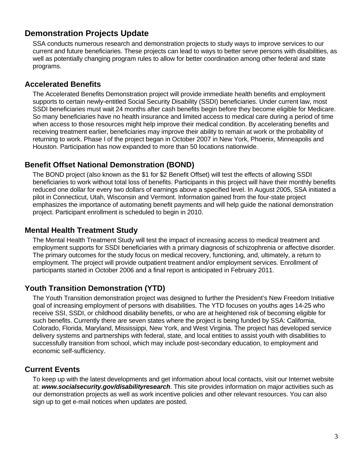# <span id="page-6-0"></span>**Demonstration Projects Update**

SSA conducts numerous research and demonstration projects to study ways to improve services to our current and future beneficiaries. These projects can lead to ways to better serve persons with disabilities, as well as potentially changing program rules to allow for better coordination among other federal and state programs.

# **Accelerated Benefits**

The Accelerated Benefits Demonstration project will provide immediate health benefits and employment supports to certain newly-entitled Social Security Disability (SSDI) beneficiaries. Under current law, most SSDI beneficiaries must wait 24 months after cash benefits begin before they become eligible for Medicare. So many beneficiaries have no health insurance and limited access to medical care during a period of time when access to those resources might help improve their medical condition. By accelerating benefits and receiving treatment earlier, beneficiaries may improve their ability to remain at work or the probability of returning to work. Phase I of the project began in October 2007 in New York, Phoenix, Minneapolis and Houston. Participation has now expanded to more than 50 locations nationwide.

# **Benefit Offset National Demonstration (BOND)**

The BOND project (also known as the \$1 for \$2 Benefit Offset) will test the effects of allowing SSDI beneficiaries to work without total loss of benefits. Participants in this project will have their monthly benefits reduced one dollar for every two dollars of earnings above a specified level. In August 2005, SSA initiated a pilot in Connecticut, Utah, Wisconsin and Vermont. Information gained from the four-state project emphasizes the importance of automating benefit payments and will help guide the national demonstration project. Participant enrollment is scheduled to begin in 2010.

# **Mental Health Treatment Study**

The Mental Health Treatment Study will test the impact of increasing access to medical treatment and employment supports for SSDI beneficiaries with a primary diagnosis of schizophrenia or affective disorder. The primary outcomes for the study focus on medical recovery, functioning, and, ultimately, a return to employment. The project will provide outpatient treatment and/or employment services. Enrollment of participants started in October 2006 and a final report is anticipated in February 2011.

# **Youth Transition Demonstration (YTD)**

The Youth Transition demonstration project was designed to further the President's New Freedom Initiative goal of increasing employment of persons with disabilities. The YTD focuses on youths ages 14-25 who receive SSI, SSDI, or childhood disability benefits, or who are at heightened risk of becoming eligible for such benefits. Currently there are seven states where the project is being funded by SSA: California, Colorado, Florida, Maryland, Mississippi, New York, and West Virginia. The project has developed service delivery systems and partnerships with federal, state, and local entities to assist youth with disabilities to successfully transition from school, which may include post-secondary education, to employment and economic self-sufficiency.

# **Current Events**

To keep up with the latest developments and get information about local contacts, visit our Internet website at: *[www.socialsecurity.gov/disabilityresearch](http://www.socialsecurity.gov/disabilityresearch)*. This site provides information on major activities such as our demonstration projects as well as work incentive policies and other relevant resources. You can also sign up to get e-mail notices when updates are posted.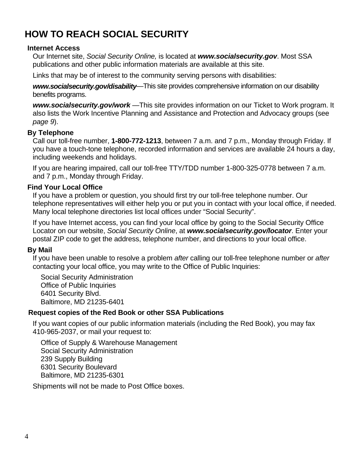# <span id="page-7-0"></span>**HOW TO REACH SOCIAL SECURITY**

### **Internet Access**

Our Internet site, *Social Security Online,* is located at *[www.socialsecurity.gov](http://www.socialsecurity.gov/)*. Most SSA publications and other public information materials are available at this site.

Links that may be of interest to the community serving persons with disabilities:

*[www.socialsecurity.gov/disability](http://www.socialsecurity.gov/disability)—*This site provides comprehensive information on our disability benefits programs.

*[www.socialsecurity.gov/work](http://www.socialsecurity.gov/work)* —This site provides information on our Ticket to Work program. It also lists the Work Incentive Planning and Assistance and Protection and Advocacy groups (see *page 9*).

### **By Telephone**

Call our toll-free number, **1-800-772-1213**, between 7 a.m. and 7 p.m., Monday through Friday. If you have a touch-tone telephone, recorded information and services are available 24 hours a day, including weekends and holidays.

If you are hearing impaired, call our toll-free TTY/TDD number 1-800-325-0778 between 7 a.m. and 7 p.m., Monday through Friday.

### **Find Your Local Office**

If you have a problem or question, you should first try our toll-free telephone number. Our telephone representatives will either help you or put you in contact with your local office, if needed. Many local telephone directories list local offices under "Social Security".

If you have Internet access, you can find your local office by going to the Social Security Office Locator on our website, *Social Security Online*, at *[www.socialsecurity.gov/locator](http://www.socialsecurity.gov/locator)*. Enter your postal ZIP code to get the address, telephone number, and directions to your local office.

#### **By Mail**

If you have been unable to resolve a problem *after* calling our toll-free telephone number or *after* contacting your local office, you may write to the Office of Public Inquiries:

Social Security Administration Office of Public Inquiries 6401 Security Blvd. Baltimore, MD 21235-6401

#### **Request copies of the Red Book or other SSA Publications**

If you want copies of our public information materials (including the Red Book), you may fax 410-965-2037, or mail your request to:

Office of Supply & Warehouse Management Social Security Administration 239 Supply Building 6301 Security Boulevard Baltimore, MD 21235-6301

Shipments will not be made to Post Office boxes.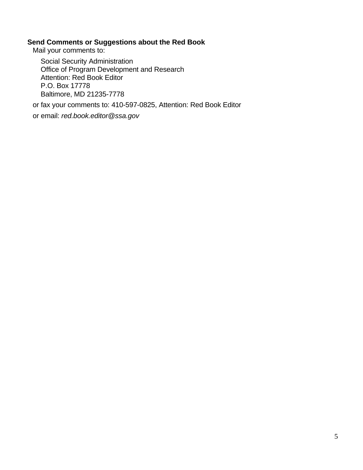#### **Send Comments or Suggestions about the Red Book**

Mail your comments to:

Social Security Administration Office of Program Development and Research Attention: Red Book Editor P.O. Box 17778 Baltimore, MD 21235-7778

or fax your comments to: 410-597-0825, Attention: Red Book Editor

or email: *[red.book.editor@ssa.gov](mailto:red.book.editor@ssa.gov)*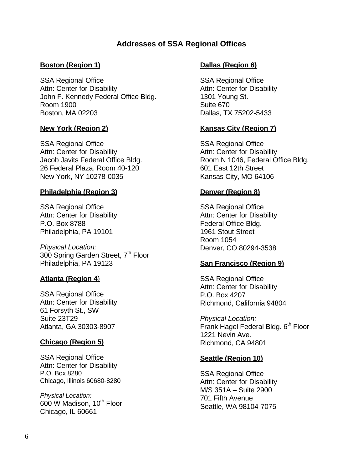# **Addresses of SSA Regional Offices**

### **Boston (Region 1)**

SSA Regional Office Attn: Center for Disability John F. Kennedy Federal Office Bldg. Room 1900 Boston, MA 02203

### **New York (Region 2)**

SSA Regional Office Attn: Center for Disability Jacob Javits Federal Office Bldg. 26 Federal Plaza, Room 40-120 New York, NY 10278-0035

#### **Philadelphia (Region 3)**

SSA Regional Office Attn: Center for Disability P.O. Box 8788 Philadelphia, PA 19101

*Physical Location:*  300 Spring Garden Street, 7<sup>th</sup> Floor Philadelphia, PA 19123

### **Atlanta (Region 4**)

SSA Regional Office Attn: Center for Disability 61 Forsyth St., SW Suite 23T29 Atlanta, GA 30303-8907

#### **Chicago (Region 5)**

SSA Regional Office Attn: Center for Disability P.O. Box 8280 Chicago, Illinois 60680-8280

*Physical Location:*  600 W Madison, 10<sup>th</sup> Floor Chicago, IL 60661

#### **Dallas (Region 6)**

SSA Regional Office Attn: Center for Disability 1301 Young St. Suite 670 Dallas, TX 75202-5433

### **Kansas City (Region 7)**

SSA Regional Office Attn: Center for Disability Room N 1046, Federal Office Bldg. 601 East 12th Street Kansas City, MO 64106

#### **Denver (Region 8)**

SSA Regional Office Attn: Center for Disability Federal Office Bldg. 1961 Stout Street Room 1054 Denver, CO 80294-3538

#### **San Francisco (Region 9)**

SSA Regional Office Attn: Center for Disability P.O. Box 4207 Richmond, California 94804

*Physical Location:*  Frank Hagel Federal Bldg. 6<sup>th</sup> Floor 1221 Nevin Ave. Richmond, CA 94801

#### **Seattle (Region 10)**

SSA Regional Office Attn: Center for Disability M/S 351A – Suite 2900 701 Fifth Avenue Seattle, WA 98104-7075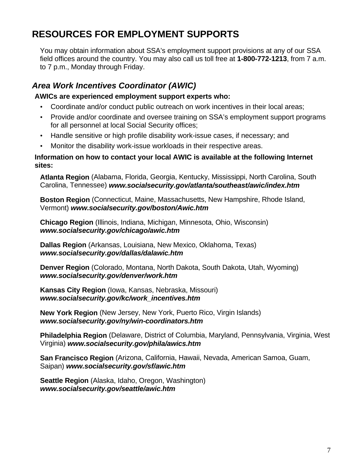# <span id="page-10-0"></span>**RESOURCES FOR EMPLOYMENT SUPPORTS**

You may obtain information about SSA's employment support provisions at any of our SSA field offices around the country. You may also call us toll free at **1-800-772-1213**, from 7 a.m. to 7 p.m., Monday through Friday.

# *Area Work Incentives Coordinator (AWIC)*

### **AWICs are experienced employment support experts who:**

- **·** Coordinate and/or conduct public outreach on work incentives in their local areas;
- **·** Provide and/or coordinate and oversee training on SSA's employment support programs for all personnel at local Social Security offices;
- **·** Handle sensitive or high profile disability work-issue cases, if necessary; and
- **·** Monitor the disability work-issue workloads in their respective areas.

#### **Information on how to contact your local AWIC is available at the following Internet sites:**

**Atlanta Region** (Alabama, Florida, Georgia, Kentucky, Mississippi, North Carolina, South Carolina, Tennessee) *[www.socialsecurity.gov/atlanta/southeast/awic/index.htm](http://www.ssa.gov/atlanta/southeast/awic/index.htm)*

**Boston Region** (Connecticut, Maine, Massachusetts, New Hampshire, Rhode Island, Vermont) *[www.socialsecurity.gov/boston/Awic.htm](http://www.ssa.gov/boston/Awic.htm)*

**Chicago Region** (Illinois, Indiana, Michigan, Minnesota, Ohio, Wisconsin) *[www.socialsecurity.gov/chicago/awic.htm](http://www.ssa.gov/chicago/awic.htm)*

**Dallas Region** (Arkansas, Louisiana, New Mexico, Oklahoma, Texas) *[www.socialsecurity.gov/dallas/dalawic.htm](http://www.ssa.gov/dallas/dalawic.htm)*

**Denver Region** (Colorado, Montana, North Dakota, South Dakota, Utah, Wyoming) *[www.socialsecurity.gov/denver/work.htm](http://www.ssa.gov/denver/work.htm)*

**Kansas City Region** (Iowa, Kansas, Nebraska, Missouri) *[www.socialsecurity.gov/kc/work\\_incentives.htm](http://www.ssa.gov/kc/work_incentives.htm)*

**New York Region** (New Jersey, New York, Puerto Rico, Virgin Islands) *[www.socialsecurity.gov/ny/win-coordinators.htm](http://www.ssa.gov/ny/win-coordinators.htm)* 

**Philadelphia Region** (Delaware, District of Columbia, Maryland, Pennsylvania, Virginia, West Virginia) *[www.socialsecurity.gov/phila/awics.htm](http://www.ssa.gov/phila/awics.htm)* 

**San Francisco Region** (Arizona, California, Hawaii, Nevada, American Samoa, Guam, Saipan) *[www.socialsecurity.gov/sf/awic.htm](http://www.ssa.gov/sf/awic.htm)* 

**Seattle Region** (Alaska, Idaho, Oregon, Washington) *[www.socialsecurity.gov/seattle/awic.htm](http://www.ssa.gov/sf/awic.htm)*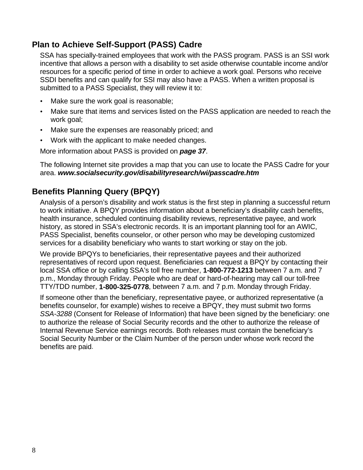# <span id="page-11-0"></span>**Plan to Achieve Self-Support (PASS) Cadre**

SSA has specially-trained employees that work with the PASS program. PASS is an SSI work incentive that allows a person with a disability to set aside otherwise countable income and/or resources for a specific period of time in order to achieve a work goal. Persons who receive SSDI benefits and can qualify for SSI may also have a PASS. When a written proposal is submitted to a PASS Specialist, they will review it to:

- **·** Make sure the work goal is reasonable;
- **·** Make sure that items and services listed on the PASS application are needed to reach the work goal;
- **·** Make sure the expenses are reasonably priced; and
- **·** Work with the applicant to make needed changes.

More information about PASS is provided on *page 37*.

The following Internet site provides a map that you can use to locate the PASS Cadre for your area. *[www.socialsecurity.gov/disabilityresearch/wi/passcadre.htm](http://www.socialsecurity.gov/disabilityresearch/wi/passcadre.htm)*

# **Benefits Planning Query (BPQY)**

Analysis of a person's disability and work status is the first step in planning a successful return to work initiative. A BPQY provides information about a beneficiary's disability cash benefits, health insurance, scheduled continuing disability reviews, representative payee, and work history, as stored in SSA's electronic records. It is an important planning tool for an AWIC, PASS Specialist, benefits counselor, or other person who may be developing customized services for a disability beneficiary who wants to start working or stay on the job.

We provide BPQYs to beneficiaries, their representative payees and their authorized representatives of record upon request. Beneficiaries can request a BPQY by contacting their local SSA office or by calling SSA's toll free number, **1-800-772-1213** between 7 a.m. and 7 p.m., Monday through Friday. People who are deaf or hard-of-hearing may call our toll-free TTY/TDD number, **1-800-325-0778**, between 7 a.m. and 7 p.m. Monday through Friday.

If someone other than the beneficiary, representative payee, or authorized representative (a benefits counselor, for example) wishes to receive a BPQY, they must submit two forms *SSA-3288* (Consent for Release of Information) that have been signed by the beneficiary: one to authorize the release of Social Security records and the other to authorize the release of Internal Revenue Service earnings records. Both releases must contain the beneficiary's Social Security Number or the Claim Number of the person under whose work record the benefits are paid.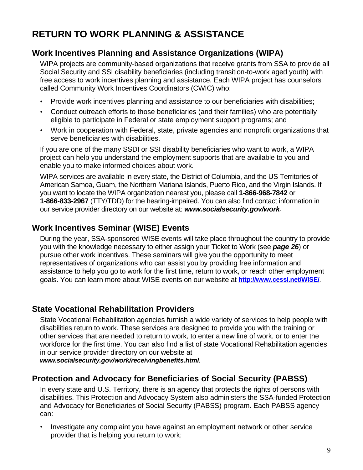# <span id="page-12-0"></span>**RETURN TO WORK PLANNING & ASSISTANCE**

# **Work Incentives Planning and Assistance Organizations (WIPA)**

WIPA projects are community-based organizations that receive grants from SSA to provide all Social Security and SSI disability beneficiaries (including transition-to-work aged youth) with free access to work incentives planning and assistance. Each WIPA project has counselors called Community Work Incentives Coordinators (CWIC) who:

- **·** Provide work incentives planning and assistance to our beneficiaries with disabilities;
- **·** Conduct outreach efforts to those beneficiaries (and their families) who are potentially eligible to participate in Federal or state employment support programs; and
- **·** Work in cooperation with Federal, state, private agencies and nonprofit organizations that serve beneficiaries with disabilities.

If you are one of the many SSDI or SSI disability beneficiaries who want to work, a WIPA project can help you understand the employment supports that are available to you and enable you to make informed choices about work.

WIPA services are available in every state, the District of Columbia, and the US Territories of American Samoa, Guam, the Northern Mariana Islands, Puerto Rico, and the Virgin Islands. If you want to locate the WIPA organization nearest you, please call **1-866-968-7842** or **1-866-833-2967** (TTY/TDD) for the hearing-impaired. You can also find contact information in our service provider directory on our website at: *[www.socialsecurity.gov/work](http://www.socialsecurity.gov/work)*.

# **Work Incentives Seminar (WISE) Events**

During the year, SSA-sponsored WISE events will take place throughout the country to provide you with the knowledge necessary to either assign your Ticket to Work (see *page 26*) or pursue other work incentives. These seminars will give you the opportunity to meet representatives of organizations who can assist you by providing free information and assistance to help you go to work for the first time, return to work, or reach other employment goals. You can learn more about WISE events on our website at **<http://www.cessi.net/WISE/>***.* 

# **State Vocational Rehabilitation Providers**

State Vocational Rehabilitation agencies furnish a wide variety of services to help people with disabilities return to work. These services are designed to provide you with the training or other services that are needed to return to work, to enter a new line of work, or to enter the workforce for the first time. You can also find a list of state Vocational Rehabilitation agencies in our service provider directory on our website at

*[www.socialsecurity.gov/work/receivingbenefits.html](http://www.socialsecurity.gov/work/receivingbenefits.html).*

# **Protection and Advocacy for Beneficiaries of Social Security (PABSS)**

In every state and U.S. Territory, there is an agency that protects the rights of persons with disabilities. This Protection and Advocacy System also administers the SSA-funded Protection and Advocacy for Beneficiaries of Social Security (PABSS) program. Each PABSS agency can:

**·** Investigate any complaint you have against an employment network or other service provider that is helping you return to work;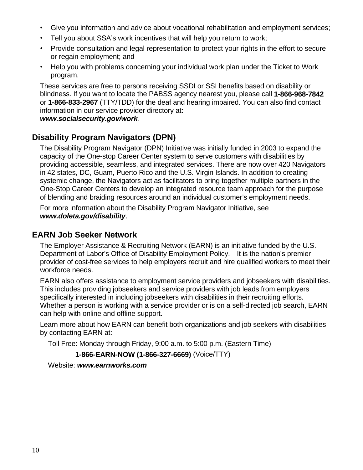- <span id="page-13-0"></span>**·** Give you information and advice about vocational rehabilitation and employment services;
- **·** Tell you about SSA's work incentives that will help you return to work;
- **·** Provide consultation and legal representation to protect your rights in the effort to secure or regain employment; and
- **·** Help you with problems concerning your individual work plan under the Ticket to Work program.

These services are free to persons receiving SSDI or SSI benefits based on disability or blindness. If you want to locate the PABSS agency nearest you, please call **1-866-968-7842** or **1-866-833-2967** (TTY/TDD) for the deaf and hearing impaired. You can also find contact information in our service provider directory at:

*[www.socialsecurity.gov/work](http://www.socialsecurity.gov/work).*

# **Disability Program Navigators (DPN)**

The Disability Program Navigator (DPN) Initiative was initially funded in 2003 to expand the capacity of the One-stop Career Center system to serve customers with disabilities by providing accessible, seamless, and integrated services. There are now over 420 Navigators in 42 states, DC, Guam, Puerto Rico and the U.S. Virgin Islands. In addition to creating systemic change, the Navigators act as facilitators to bring together multiple partners in the One-Stop Career Centers to develop an integrated resource team approach for the purpose of blending and braiding resources around an individual customer's employment needs.

For more information about the Disability Program Navigator Initiative, see *[www.doleta.gov/disability](http://www.doleta.gov/disability)*.

# **EARN Job Seeker Network**

The Employer Assistance & Recruiting Network (EARN) is an initiative funded by the U.S. Department of Labor's Office of Disability Employment Policy. It is the nation's premier provider of cost-free services to help employers recruit and hire qualified workers to meet their workforce needs.

EARN also offers assistance to employment service providers and jobseekers with disabilities. This includes providing jobseekers and service providers with job leads from employers specifically interested in including jobseekers with disabilities in their recruiting efforts. Whether a person is working with a service provider or is on a self-directed job search, EARN can help with online and offline support.

Learn more about how EARN can benefit both organizations and job seekers with disabilities by contacting EARN at:

Toll Free: Monday through Friday, 9:00 a.m. to 5:00 p.m. (Eastern Time)

```
1-866-EARN-NOW (1-866-327-6669) (Voice/TTY)
```
Website: *[www.earnworks.com](http://www.earnworks.com/)*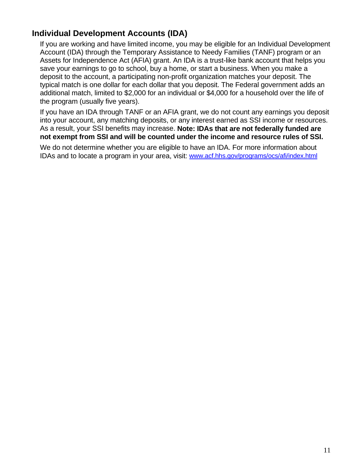# <span id="page-14-0"></span>**Individual Development Accounts (IDA)**

If you are working and have limited income, you may be eligible for an Individual Development Account (IDA) through the Temporary Assistance to Needy Families (TANF) program or an Assets for Independence Act (AFIA) grant. An IDA is a trust-like bank account that helps you save your earnings to go to school, buy a home, or start a business. When you make a deposit to the account, a participating non-profit organization matches your deposit. The typical match is one dollar for each dollar that you deposit. The Federal government adds an additional match, limited to \$2,000 for an individual or \$4,000 for a household over the life of the program (usually five years).

If you have an IDA through TANF or an AFIA grant, we do not count any earnings you deposit into your account, any matching deposits, or any interest earned as SSI income or resources. As a result, your SSI benefits may increase. **Note: IDAs that are not federally funded are not exempt from SSI and will be counted under the income and resource rules of SSI.**

We do not determine whether you are eligible to have an IDA. For more information about IDAs and to locate a program in your area, visit: [www.acf.hhs.gov/programs/ocs/afi/index.html](http://www.acf.hhs.gov/programs/ocs/afi/index.html)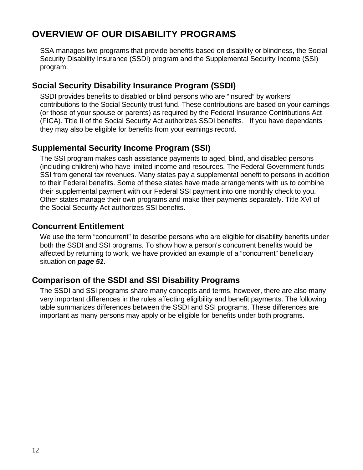# <span id="page-15-0"></span>**OVERVIEW OF OUR DISABILITY PROGRAMS**

SSA manages two programs that provide benefits based on disability or blindness, the Social Security Disability Insurance (SSDI) program and the Supplemental Security Income (SSI) program.

# **Social Security Disability Insurance Program (SSDI)**

SSDI provides benefits to disabled or blind persons who are "insured" by workers' contributions to the Social Security trust fund. These contributions are based on your earnings (or those of your spouse or parents) as required by the Federal Insurance Contributions Act (FICA). Title II of the Social Security Act authorizes SSDI benefits. If you have dependants they may also be eligible for benefits from your earnings record.

# **Supplemental Security Income Program (SSI)**

The SSI program makes cash assistance payments to aged, blind, and disabled persons (including children) who have limited income and resources. The Federal Government funds SSI from general tax revenues. Many states pay a supplemental benefit to persons in addition to their Federal benefits. Some of these states have made arrangements with us to combine their supplemental payment with our Federal SSI payment into one monthly check to you. Other states manage their own programs and make their payments separately. Title XVI of the Social Security Act authorizes SSI benefits.

# **Concurrent Entitlement**

We use the term "concurrent" to describe persons who are eligible for disability benefits under both the SSDI and SSI programs. To show how a person's concurrent benefits would be affected by returning to work, we have provided an example of a "concurrent" beneficiary situation on *page 51*.

# **Comparison of the SSDI and SSI Disability Programs**

The SSDI and SSI programs share many concepts and terms, however, there are also many very important differences in the rules affecting eligibility and benefit payments. The following table summarizes differences between the SSDI and SSI programs. These differences are important as many persons may apply or be eligible for benefits under both programs.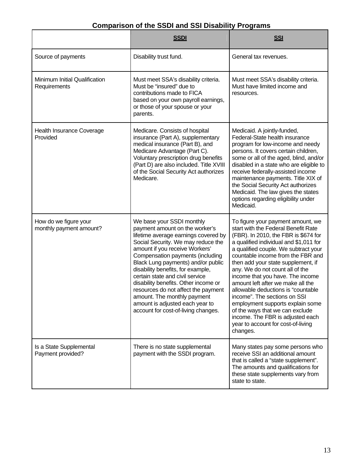# **Comparison of the SSDI and SSI Disability Programs**

|                                                  | <b>SSDI</b>                                                                                                                                                                                                                                                                                                                                                                                                                                                                                                           | <b>SSI</b>                                                                                                                                                                                                                                                                                                                                                                                                                                                                                                                                                                                                                   |
|--------------------------------------------------|-----------------------------------------------------------------------------------------------------------------------------------------------------------------------------------------------------------------------------------------------------------------------------------------------------------------------------------------------------------------------------------------------------------------------------------------------------------------------------------------------------------------------|------------------------------------------------------------------------------------------------------------------------------------------------------------------------------------------------------------------------------------------------------------------------------------------------------------------------------------------------------------------------------------------------------------------------------------------------------------------------------------------------------------------------------------------------------------------------------------------------------------------------------|
| Source of payments                               | Disability trust fund.                                                                                                                                                                                                                                                                                                                                                                                                                                                                                                | General tax revenues.                                                                                                                                                                                                                                                                                                                                                                                                                                                                                                                                                                                                        |
| Minimum Initial Qualification<br>Requirements    | Must meet SSA's disability criteria.<br>Must meet SSA's disability criteria.<br>Must be "insured" due to<br>Must have limited income and<br>contributions made to FICA<br>resources.<br>based on your own payroll earnings,<br>or those of your spouse or your<br>parents.                                                                                                                                                                                                                                            |                                                                                                                                                                                                                                                                                                                                                                                                                                                                                                                                                                                                                              |
| <b>Health Insurance Coverage</b><br>Provided     | Medicare. Consists of hospital<br>insurance (Part A), supplementary<br>medical insurance (Part B), and<br>Medicare Advantage (Part C).<br>Voluntary prescription drug benefits<br>(Part D) are also included. Title XVIII<br>of the Social Security Act authorizes<br>Medicare.                                                                                                                                                                                                                                       | Medicaid. A jointly-funded,<br>Federal-State health insurance<br>program for low-income and needy<br>persons. It covers certain children,<br>some or all of the aged, blind, and/or<br>disabled in a state who are eligible to<br>receive federally-assisted income<br>maintenance payments. Title XIX of<br>the Social Security Act authorizes<br>Medicaid. The law gives the states<br>options regarding eligibility under<br>Medicaid.                                                                                                                                                                                    |
| How do we figure your<br>monthly payment amount? | We base your SSDI monthly<br>payment amount on the worker's<br>lifetime average earnings covered by<br>Social Security. We may reduce the<br>amount if you receive Workers'<br>Compensation payments (including<br>Black Lung payments) and/or public<br>disability benefits, for example,<br>certain state and civil service<br>disability benefits. Other income or<br>resources do not affect the payment<br>amount. The monthly payment<br>amount is adjusted each year to<br>account for cost-of-living changes. | To figure your payment amount, we<br>start with the Federal Benefit Rate<br>(FBR). In 2010, the FBR is \$674 for<br>a qualified individual and \$1,011 for<br>a qualified couple. We subtract your<br>countable income from the FBR and<br>then add your state supplement, if<br>any. We do not count all of the<br>income that you have. The income<br>amount left after we make all the<br>allowable deductions is "countable<br>income". The sections on SSI<br>employment supports explain some<br>of the ways that we can exclude<br>income. The FBR is adjusted each<br>year to account for cost-of-living<br>changes. |
| Is a State Supplemental<br>Payment provided?     | There is no state supplemental<br>payment with the SSDI program.                                                                                                                                                                                                                                                                                                                                                                                                                                                      | Many states pay some persons who<br>receive SSI an additional amount<br>that is called a "state supplement".<br>The amounts and qualifications for<br>these state supplements vary from<br>state to state.                                                                                                                                                                                                                                                                                                                                                                                                                   |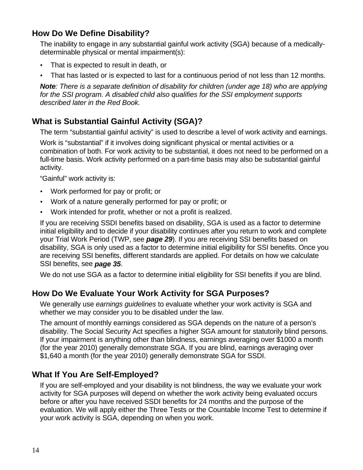# <span id="page-17-0"></span>**How Do We Define Disability?**

The inability to engage in any substantial gainful work activity (SGA) because of a medicallydeterminable physical or mental impairment(s):

- **·** That is expected to result in death, or
- **·** That has lasted or is expected to last for a continuous period of not less than 12 months.

*Note: There is a separate definition of disability for children (under age 18) who are applying for the SSI program. A disabled child also qualifies for the SSI employment supports described later in the Red Book.* 

# **What is Substantial Gainful Activity (SGA)?**

The term "substantial gainful activity" is used to describe a level of work activity and earnings.

Work is "substantial" if it involves doing significant physical or mental activities or a combination of both. For work activity to be substantial, it does not need to be performed on a full-time basis. Work activity performed on a part-time basis may also be substantial gainful activity.

"Gainful" work activity is:

- **·** Work performed for pay or profit; or
- **·** Work of a nature generally performed for pay or profit; or
- **·** Work intended for profit, whether or not a profit is realized.

If you are receiving SSDI benefits based on disability, SGA is used as a factor to determine initial eligibility and to decide if your disability continues after you return to work and complete your Trial Work Period (TWP, see *page 29*). If you are receiving SSI benefits based on disability, SGA is only used as a factor to determine initial eligibility for SSI benefits. Once you are receiving SSI benefits, different standards are applied. For details on how we calculate SSI benefits, see *page 35*.

We do not use SGA as a factor to determine initial eligibility for SSI benefits if you are blind.

# **How Do We Evaluate Your Work Activity for SGA Purposes?**

We generally use *earnings guidelines* to evaluate whether your work activity is SGA and whether we may consider you to be disabled under the law.

The amount of monthly earnings considered as SGA depends on the nature of a person's disability. The Social Security Act specifies a higher SGA amount for statutorily blind persons. If your impairment is anything other than blindness, earnings averaging over \$1000 a month (for the year 2010) generally demonstrate SGA. If you are blind, earnings averaging over \$1,640 a month (for the year 2010) generally demonstrate SGA for SSDI.

# **What If You Are Self-Employed?**

If you are self-employed and your disability is not blindness, the way we evaluate your work activity for SGA purposes will depend on whether the work activity being evaluated occurs before or after you have received SSDI benefits for 24 months and the purpose of the evaluation. We will apply either the Three Tests or the Countable Income Test to determine if your work activity is SGA, depending on when you work.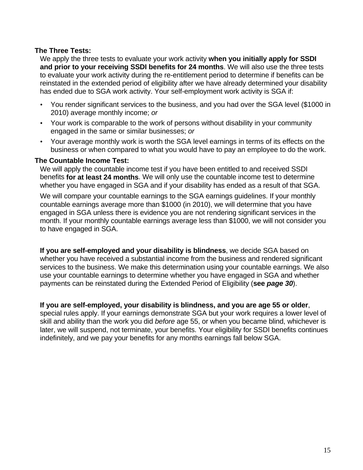### **The Three Tests:**

We apply the three tests to evaluate your work activity **when you initially apply for SSDI and prior to your receiving SSDI benefits for 24 months**. We will also use the three tests to evaluate your work activity during the re-entitlement period to determine if benefits can be reinstated in the extended period of eligibility after we have already determined your disability has ended due to SGA work activity. Your self-employment work activity is SGA if:

- **·** You render significant services to the business, and you had over the SGA level (\$1000 in 2010) average monthly income; *or*
- **·** Your work is comparable to the work of persons without disability in your community engaged in the same or similar businesses; *or*
- **·** Your average monthly work is worth the SGA level earnings in terms of its effects on the business or when compared to what you would have to pay an employee to do the work.

#### **The Countable Income Test:**

We will apply the countable income test if you have been entitled to and received SSDI benefits **for at least 24 months**. We will only use the countable income test to determine whether you have engaged in SGA and if your disability has ended as a result of that SGA.

We will compare your countable earnings to the SGA earnings quidelines. If your monthly countable earnings average more than \$1000 (in 2010), we will determine that you have engaged in SGA unless there is evidence you are not rendering significant services in the month. If your monthly countable earnings average less than \$1000, we will not consider you to have engaged in SGA.

**If you are self-employed and your disability is blindness**, we decide SGA based on whether you have received a substantial income from the business and rendered significant services to the business. We make this determination using your countable earnings. We also use your countable earnings to determine whether you have engaged in SGA and whether payments can be reinstated during the Extended Period of Eligibility (**see** *page 30*).

### **If you are self-employed, your disability is blindness, and you are age 55 or older**,

special rules apply. If your earnings demonstrate SGA but your work requires a lower level of skill and ability than the work you did *before* age 55, or when you became blind, whichever is later, we will suspend, not terminate, your benefits. Your eligibility for SSDI benefits continues indefinitely, and we pay your benefits for any months earnings fall below SGA.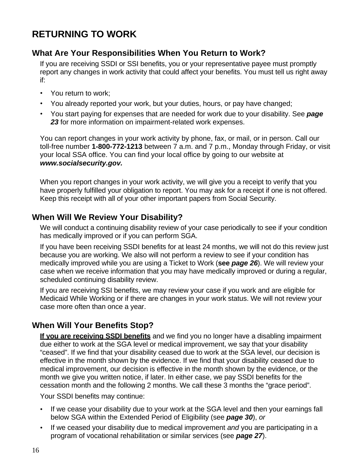# <span id="page-19-0"></span>**RETURNING TO WORK**

# **What Are Your Responsibilities When You Return to Work?**

If you are receiving SSDI or SSI benefits, you or your representative payee must promptly report any changes in work activity that could affect your benefits. You must tell us right away if:

- **·** You return to work;
- **·** You already reported your work, but your duties, hours, or pay have changed;
- **·** You start paying for expenses that are needed for work due to your disability. See *page 23* for more information on impairment-related work expenses.

You can report changes in your work activity by phone, fax, or mail, or in person. Call our toll-free number **1-800-772-1213** between 7 a.m. and 7 p.m., Monday through Friday, or visit your local SSA office. You can find your local office by going to our website at *[www.socialsecurity.gov.](http://www.socialsecurity.gov/)*

When you report changes in your work activity, we will give you a receipt to verify that you have properly fulfilled your obligation to report. You may ask for a receipt if one is not offered. Keep this receipt with all of your other important papers from Social Security.

# **When Will We Review Your Disability?**

We will conduct a continuing disability review of your case periodically to see if your condition has medically improved or if you can perform SGA.

If you have been receiving SSDI benefits for at least 24 months, we will not do this review just because you are working. We also will not perform a review to see if your condition has medically improved while you are using a Ticket to Work (**see** *page 26*). We will review your case when we receive information that you may have medically improved or during a regular, scheduled continuing disability review.

If you are receiving SSI benefits, we may review your case if you work and are eligible for Medicaid While Working or if there are changes in your work status. We will not review your case more often than once a year.

# **When Will Your Benefits Stop?**

**If you are receiving SSDI benefits** and we find you no longer have a disabling impairment due either to work at the SGA level or medical improvement, we say that your disability "ceased". If we find that your disability ceased due to work at the SGA level, our decision is effective in the month shown by the evidence. If we find that your disability ceased due to medical improvement, our decision is effective in the month shown by the evidence, or the month we give you written notice, if later. In either case, we pay SSDI benefits for the cessation month and the following 2 months. We call these 3 months the "grace period".

Your SSDI benefits may continue:

- **·** If we cease your disability due to your work at the SGA level and then your earnings fall below SGA within the Extended Period of Eligibility (see *page 30*), *or*
- **·** If we ceased your disability due to medical improvement *and* you are participating in a program of vocational rehabilitation or similar services (see *page 27*).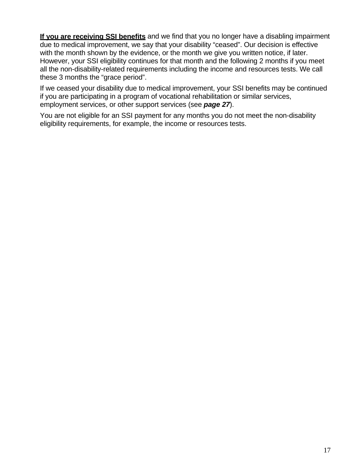**If you are receiving SSI benefits** and we find that you no longer have a disabling impairment due to medical improvement, we say that your disability "ceased". Our decision is effective with the month shown by the evidence, or the month we give you written notice, if later. However, your SSI eligibility continues for that month and the following 2 months if you meet all the non-disability-related requirements including the income and resources tests. We call these 3 months the "grace period".

If we ceased your disability due to medical improvement, your SSI benefits may be continued if you are participating in a program of vocational rehabilitation or similar services, employment services, or other support services (see *page 27*).

You are not eligible for an SSI payment for any months you do not meet the non-disability eligibility requirements, for example, the income or resources tests.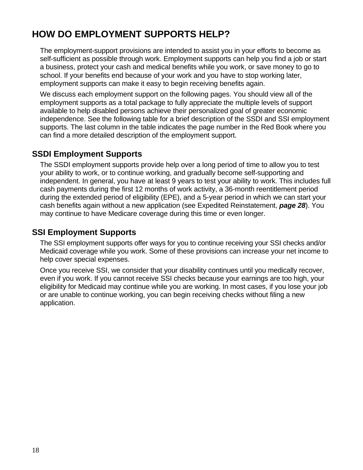# <span id="page-21-0"></span>**HOW DO EMPLOYMENT SUPPORTS HELP?**

The employment-support provisions are intended to assist you in your efforts to become as self-sufficient as possible through work. Employment supports can help you find a job or start a business, protect your cash and medical benefits while you work, or save money to go to school. If your benefits end because of your work and you have to stop working later, employment supports can make it easy to begin receiving benefits again.

We discuss each employment support on the following pages. You should view all of the employment supports as a total package to fully appreciate the multiple levels of support available to help disabled persons achieve their personalized goal of greater economic independence. See the following table for a brief description of the SSDI and SSI employment supports. The last column in the table indicates the page number in the Red Book where you can find a more detailed description of the employment support.

# **SSDI Employment Supports**

The SSDI employment supports provide help over a long period of time to allow you to test your ability to work, or to continue working, and gradually become self-supporting and independent. In general, you have at least 9 years to test your ability to work. This includes full cash payments during the first 12 months of work activity, a 36-month reentitlement period during the extended period of eligibility (EPE), and a 5-year period in which we can start your cash benefits again without a new application (see Expedited Reinstatement, *page 28*). You may continue to have Medicare coverage during this time or even longer.

# **SSI Employment Supports**

The SSI employment supports offer ways for you to continue receiving your SSI checks and/or Medicaid coverage while you work. Some of these provisions can increase your net income to help cover special expenses.

Once you receive SSI, we consider that your disability continues until you medically recover, even if you work. If you cannot receive SSI checks because your earnings are too high, your eligibility for Medicaid may continue while you are working. In most cases, if you lose your job or are unable to continue working, you can begin receiving checks without filing a new application.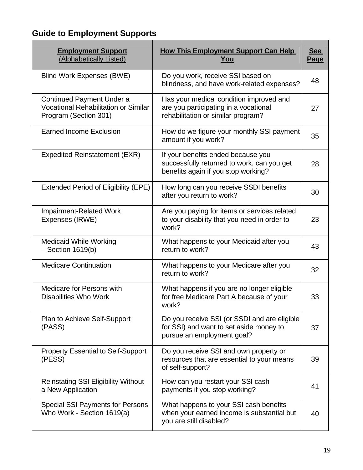# <span id="page-22-0"></span>**Guide to Employment Supports**

| <b>Employment Support</b><br>(Alphabetically Listed)                                       | <b>How This Employment Support Can Help</b><br><u>You</u>                                                               | <u>See</u><br>Page |
|--------------------------------------------------------------------------------------------|-------------------------------------------------------------------------------------------------------------------------|--------------------|
| <b>Blind Work Expenses (BWE)</b>                                                           | Do you work, receive SSI based on<br>blindness, and have work-related expenses?                                         |                    |
| Continued Payment Under a<br>Vocational Rehabilitation or Similar<br>Program (Section 301) | Has your medical condition improved and<br>are you participating in a vocational<br>rehabilitation or similar program?  |                    |
| <b>Earned Income Exclusion</b>                                                             | How do we figure your monthly SSI payment<br>amount if you work?                                                        | 35                 |
| <b>Expedited Reinstatement (EXR)</b>                                                       | If your benefits ended because you<br>successfully returned to work, can you get<br>benefits again if you stop working? | 28                 |
| <b>Extended Period of Eligibility (EPE)</b>                                                | How long can you receive SSDI benefits<br>after you return to work?                                                     | 30                 |
| <b>Impairment-Related Work</b><br>Expenses (IRWE)                                          | Are you paying for items or services related<br>to your disability that you need in order to<br>work?                   | 23                 |
| <b>Medicaid While Working</b><br>$-$ Section 1619(b)                                       | What happens to your Medicaid after you<br>return to work?                                                              | 43                 |
| <b>Medicare Continuation</b>                                                               | What happens to your Medicare after you<br>return to work?                                                              | 32                 |
| <b>Medicare for Persons with</b><br><b>Disabilities Who Work</b>                           | What happens if you are no longer eligible<br>for free Medicare Part A because of your<br>work?                         | 33                 |
| Plan to Achieve Self-Support<br>(PASS)                                                     | Do you receive SSI (or SSDI and are eligible<br>for SSI) and want to set aside money to<br>pursue an employment goal?   | 37                 |
| <b>Property Essential to Self-Support</b><br>(PESS)                                        | Do you receive SSI and own property or<br>resources that are essential to your means<br>of self-support?                | 39                 |
| <b>Reinstating SSI Eligibility Without</b><br>a New Application                            | How can you restart your SSI cash<br>payments if you stop working?                                                      | 41                 |
| <b>Special SSI Payments for Persons</b><br>Who Work - Section 1619(a)                      | What happens to your SSI cash benefits<br>when your earned income is substantial but<br>you are still disabled?         | 40                 |

 $\overline{\phantom{0}}$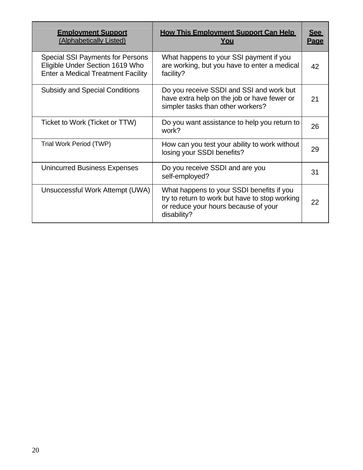| <b>Employment Support</b><br>(Alphabetically Listed)                                                                    | <b>How This Employment Support Can Help</b><br>You                                                                                                 | <u>See</u><br><b>Page</b> |
|-------------------------------------------------------------------------------------------------------------------------|----------------------------------------------------------------------------------------------------------------------------------------------------|---------------------------|
| <b>Special SSI Payments for Persons</b><br>Eligible Under Section 1619 Who<br><b>Enter a Medical Treatment Facility</b> | What happens to your SSI payment if you<br>are working, but you have to enter a medical<br>facility?                                               | 42                        |
| <b>Subsidy and Special Conditions</b>                                                                                   | Do you receive SSDI and SSI and work but<br>have extra help on the job or have fewer or<br>simpler tasks than other workers?                       | 21                        |
| Ticket to Work (Ticket or TTW)                                                                                          | Do you want assistance to help you return to<br>work?                                                                                              | 26                        |
| Trial Work Period (TWP)                                                                                                 | How can you test your ability to work without<br>losing your SSDI benefits?                                                                        | 29                        |
| <b>Unincurred Business Expenses</b>                                                                                     | Do you receive SSDI and are you<br>self-employed?                                                                                                  | 31                        |
| Unsuccessful Work Attempt (UWA)                                                                                         | What happens to your SSDI benefits if you<br>try to return to work but have to stop working<br>or reduce your hours because of your<br>disability? | 22                        |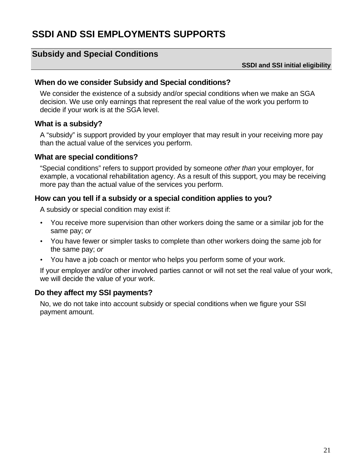# <span id="page-24-0"></span>**SSDI AND SSI EMPLOYMENTS SUPPORTS**

# **Subsidy and Special Conditions**

#### **SSDI and SSI initial eligibility**

#### **When do we consider Subsidy and Special conditions?**

We consider the existence of a subsidy and/or special conditions when we make an SGA decision. We use only earnings that represent the real value of the work you perform to decide if your work is at the SGA level.

### **What is a subsidy?**

A "subsidy" is support provided by your employer that may result in your receiving more pay than the actual value of the services you perform.

### **What are special conditions?**

"Special conditions" refers to support provided by someone *other than* your employer, for example, a vocational rehabilitation agency. As a result of this support, you may be receiving more pay than the actual value of the services you perform.

### **How can you tell if a subsidy or a special condition applies to you?**

A subsidy or special condition may exist if:

- **·** You receive more supervision than other workers doing the same or a similar job for the same pay; *or*
- **·** You have fewer or simpler tasks to complete than other workers doing the same job for the same pay; *or*
- **·** You have a job coach or mentor who helps you perform some of your work.

If your employer and/or other involved parties cannot or will not set the real value of your work, we will decide the value of your work.

# **Do they affect my SSI payments?**

No, we do not take into account subsidy or special conditions when we figure your SSI payment amount.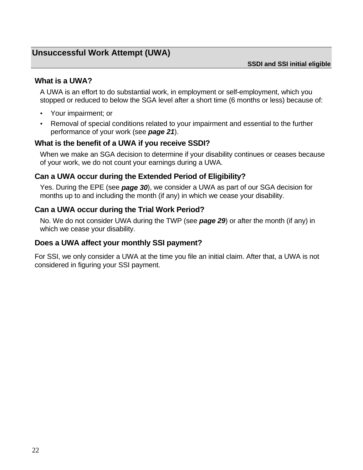# <span id="page-25-0"></span>**Unsuccessful Work Attempt (UWA)**

### **What is a UWA?**

A UWA is an effort to do substantial work, in employment or self-employment, which you stopped or reduced to below the SGA level after a short time (6 months or less) because of:

- **·** Your impairment; or
- **·** Removal of special conditions related to your impairment and essential to the further performance of your work (see *page 21*).

# **What is the benefit of a UWA if you receive SSDI?**

When we make an SGA decision to determine if your disability continues or ceases because of your work, we do not count your earnings during a UWA.

### **Can a UWA occur during the Extended Period of Eligibility?**

Yes. During the EPE (see *page 30*), we consider a UWA as part of our SGA decision for months up to and including the month (if any) in which we cease your disability.

### **Can a UWA occur during the Trial Work Period?**

No. We do not consider UWA during the TWP (see *page 29*) or after the month (if any) in which we cease your disability.

### **Does a UWA affect your monthly SSI payment?**

For SSI, we only consider a UWA at the time you file an initial claim. After that, a UWA is not considered in figuring your SSI payment.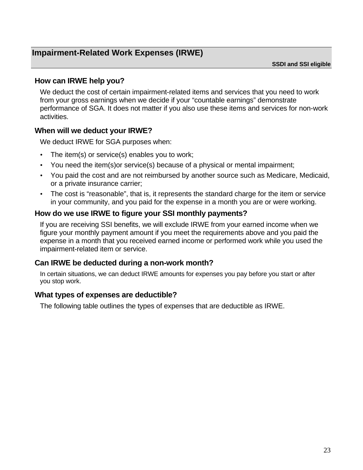# <span id="page-26-0"></span>**Impairment-Related Work Expenses (IRWE)**

**SSDI and SSI eligible** 

### **How can IRWE help you?**

We deduct the cost of certain impairment-related items and services that you need to work from your gross earnings when we decide if your "countable earnings" demonstrate performance of SGA. It does not matter if you also use these items and services for non-work activities.

### **When will we deduct your IRWE?**

We deduct IRWE for SGA purposes when:

- **·** The item(s) or service(s) enables you to work;
- **·** You need the item(s)or service(s) because of a physical or mental impairment;
- **·** You paid the cost and are not reimbursed by another source such as Medicare, Medicaid, or a private insurance carrier;
- **·** The cost is "reasonable", that is, it represents the standard charge for the item or service in your community, and you paid for the expense in a month you are or were working.

### **How do we use IRWE to figure your SSI monthly payments?**

If you are receiving SSI benefits, we will exclude IRWE from your earned income when we figure your monthly payment amount if you meet the requirements above and you paid the expense in a month that you received earned income or performed work while you used the impairment-related item or service.

### **Can IRWE be deducted during a non-work month?**

In certain situations, we can deduct IRWE amounts for expenses you pay before you start or after you stop work.

### **What types of expenses are deductible?**

The following table outlines the types of expenses that are deductible as IRWE.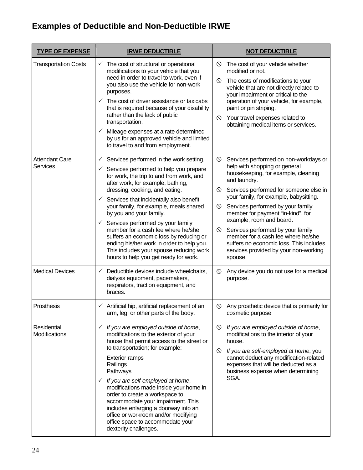# **Examples of Deductible and Non-Deductible IRWE**

| <b>TYPE OF EXPENSE</b>                   | <b>IRWE DEDUCTIBLE</b>                                                                                                                                                                                                                                                                                                                                                                                                                                                                                                                                                                                                           | <b>NOT DEDUCTIBLE</b>                                                                                                                                                                                                                                                                                                                                                                                                                                                                                                                         |  |
|------------------------------------------|----------------------------------------------------------------------------------------------------------------------------------------------------------------------------------------------------------------------------------------------------------------------------------------------------------------------------------------------------------------------------------------------------------------------------------------------------------------------------------------------------------------------------------------------------------------------------------------------------------------------------------|-----------------------------------------------------------------------------------------------------------------------------------------------------------------------------------------------------------------------------------------------------------------------------------------------------------------------------------------------------------------------------------------------------------------------------------------------------------------------------------------------------------------------------------------------|--|
| <b>Transportation Costs</b>              | The cost of structural or operational<br>$\checkmark$<br>modifications to your vehicle that you<br>need in order to travel to work, even if<br>you also use the vehicle for non-work<br>purposes.<br>The cost of driver assistance or taxicabs<br>$\checkmark$<br>that is required because of your disability<br>rather than the lack of public<br>transportation.<br>Mileage expenses at a rate determined<br>$\checkmark$<br>by us for an approved vehicle and limited<br>to travel to and from employment.                                                                                                                    | The cost of your vehicle whether<br>$\circledcirc$<br>modified or not.<br>The costs of modifications to your<br>$\circledcirc$<br>vehicle that are not directly related to<br>your impairment or critical to the<br>operation of your vehicle, for example,<br>paint or pin striping.<br>Your travel expenses related to<br>$\circ$<br>obtaining medical items or services.                                                                                                                                                                   |  |
| <b>Attendant Care</b><br><b>Services</b> | Services performed in the work setting.<br>✓<br>Services performed to help you prepare<br>$\checkmark$<br>for work, the trip to and from work, and<br>after work; for example, bathing,<br>dressing, cooking, and eating.<br>Services that incidentally also benefit<br>$\checkmark$<br>your family, for example, meals shared<br>by you and your family.<br>$\checkmark$<br>Services performed by your family<br>member for a cash fee where he/she<br>suffers an economic loss by reducing or<br>ending his/her work in order to help you.<br>This includes your spouse reducing work<br>hours to help you get ready for work. | $\circ$<br>Services performed on non-workdays or<br>help with shopping or general<br>housekeeping, for example, cleaning<br>and laundry.<br>Services performed for someone else in<br>$\circ$<br>your family, for example, babysitting.<br>Services performed by your family<br>$\circ$<br>member for payment "in-kind", for<br>example, room and board.<br>Services performed by your family<br>$\circ$<br>member for a cash fee where he/she<br>suffers no economic loss. This includes<br>services provided by your non-working<br>spouse. |  |
| <b>Medical Devices</b>                   | Deductible devices include wheelchairs,<br>$\checkmark$<br>dialysis equipment, pacemakers,<br>respirators, traction equipment, and<br>braces.                                                                                                                                                                                                                                                                                                                                                                                                                                                                                    | Any device you do not use for a medical<br>$\circ$<br>purpose.                                                                                                                                                                                                                                                                                                                                                                                                                                                                                |  |
| Prosthesis                               | $\checkmark$ Artificial hip, artificial replacement of an<br>arm, leg, or other parts of the body.                                                                                                                                                                                                                                                                                                                                                                                                                                                                                                                               | Any prosthetic device that is primarily for<br>$\circledcirc$<br>cosmetic purpose                                                                                                                                                                                                                                                                                                                                                                                                                                                             |  |
| Residential<br>Modifications             | If you are employed outside of home,<br>$\checkmark$<br>modifications to the exterior of your<br>house that permit access to the street or<br>to transportation; for example:<br><b>Exterior ramps</b><br>Railings<br>Pathways<br>If you are self-employed at home,<br>$\checkmark$<br>modifications made inside your home in<br>order to create a workspace to<br>accommodate your impairment. This<br>includes enlarging a doorway into an<br>office or workroom and/or modifying<br>office space to accommodate your<br>dexterity challenges.                                                                                 | If you are employed outside of home,<br>$\circ$<br>modifications to the interior of your<br>house.<br>If you are self-employed at home, you<br>$\circ$<br>cannot deduct any modification-related<br>expenses that will be deducted as a<br>business expense when determining<br>SGA.                                                                                                                                                                                                                                                          |  |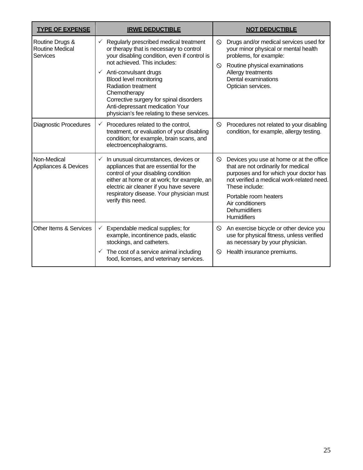| <b>TYPE OF EXPENSE</b>                                | <b>IRWE DEDUCTIBLE</b>                                                                                                                                                                                                                                                                                                                                                                                                                 | <b>NOT DEDUCTIBLE</b>                                                                                                                                                                                                                                                                   |  |
|-------------------------------------------------------|----------------------------------------------------------------------------------------------------------------------------------------------------------------------------------------------------------------------------------------------------------------------------------------------------------------------------------------------------------------------------------------------------------------------------------------|-----------------------------------------------------------------------------------------------------------------------------------------------------------------------------------------------------------------------------------------------------------------------------------------|--|
| Routine Drugs &<br><b>Routine Medical</b><br>Services | Regularly prescribed medical treatment<br>$\checkmark$<br>or therapy that is necessary to control<br>your disabling condition, even if control is<br>not achieved. This includes:<br>Anti-convulsant drugs<br>$\checkmark$<br><b>Blood level monitoring</b><br><b>Radiation treatment</b><br>Chemotherapy<br>Corrective surgery for spinal disorders<br>Anti-depressant medication Your<br>physician's fee relating to these services. | $\circ$<br>Drugs and/or medical services used for<br>your minor physical or mental health<br>problems, for example:<br>Routine physical examinations<br>$\circ$<br>Allergy treatments<br>Dental examinations<br>Optician services.                                                      |  |
| <b>Diagnostic Procedures</b>                          | Procedures related to the control,<br>✓<br>treatment, or evaluation of your disabling<br>condition; for example, brain scans, and<br>electroencephalograms.                                                                                                                                                                                                                                                                            | Procedures not related to your disabling<br>$\circ$<br>condition, for example, allergy testing.                                                                                                                                                                                         |  |
| Non-Medical<br>Appliances & Devices                   | $\checkmark$<br>In unusual circumstances, devices or<br>appliances that are essential for the<br>control of your disabling condition<br>either at home or at work; for example, an<br>electric air cleaner if you have severe<br>respiratory disease. Your physician must<br>verify this need.                                                                                                                                         | $\circ$<br>Devices you use at home or at the office<br>that are not ordinarily for medical<br>purposes and for which your doctor has<br>not verified a medical work-related need.<br>These include:<br>Portable room heaters<br>Air conditioners<br>Dehumidifiers<br><b>Humidifiers</b> |  |
| Other Items & Services                                | Expendable medical supplies; for<br>✓<br>example, incontinence pads, elastic<br>stockings, and catheters.<br>The cost of a service animal including<br>$\checkmark$<br>food, licenses, and veterinary services.                                                                                                                                                                                                                        | An exercise bicycle or other device you<br>$\circ$<br>use for physical fitness, unless verified<br>as necessary by your physician.<br>Health insurance premiums.<br>$\circ$                                                                                                             |  |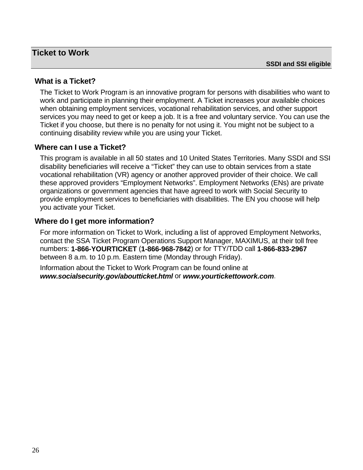### <span id="page-29-0"></span>**Ticket to Work**

# **What is a Ticket?**

The Ticket to Work Program is an innovative program for persons with disabilities who want to work and participate in planning their employment. A Ticket increases your available choices when obtaining employment services, vocational rehabilitation services, and other support services you may need to get or keep a job. It is a free and voluntary service. You can use the Ticket if you choose, but there is no penalty for not using it. You might not be subject to a continuing disability review while you are using your Ticket.

### **Where can I use a Ticket?**

This program is available in all 50 states and 10 United States Territories. Many SSDI and SSI disability beneficiaries will receive a "Ticket" they can use to obtain services from a state vocational rehabilitation (VR) agency or another approved provider of their choice. We call these approved providers "Employment Networks". Employment Networks (ENs) are private organizations or government agencies that have agreed to work with Social Security to provide employment services to beneficiaries with disabilities. The EN you choose will help you activate your Ticket.

### **Where do I get more information?**

For more information on Ticket to Work, including a list of approved Employment Networks, contact the SSA Ticket Program Operations Support Manager, MAXIMUS, at their toll free numbers: **1-866-YOURTICKET** (**1-866-968-7842**) or for TTY/TDD call **1-866-833-2967** between 8 a.m. to 10 p.m. Eastern time (Monday through Friday).

Information about the Ticket to Work Program can be found online at *[www.socialsecurity.gov/aboutticket.html](http://www.socialsecurity.gov/work/aboutticket.html)* or *[www.yourtickettowork.com](http://www.yourtickettowork.com/)*.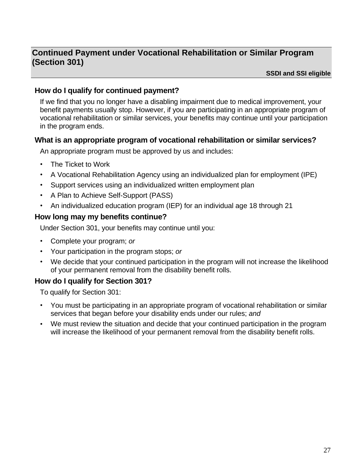# <span id="page-30-0"></span>**Continued Payment under Vocational Rehabilitation or Similar Program (Section 301)**

**SSDI and SSI eligible** 

# **How do I qualify for continued payment?**

If we find that you no longer have a disabling impairment due to medical improvement, your benefit payments usually stop. However, if you are participating in an appropriate program of vocational rehabilitation or similar services, your benefits may continue until your participation in the program ends.

### **What is an appropriate program of vocational rehabilitation or similar services?**

An appropriate program must be approved by us and includes:

- **·** The Ticket to Work
- **·** A Vocational Rehabilitation Agency using an individualized plan for employment (IPE)
- **·** Support services using an individualized written employment plan
- **·** A Plan to Achieve Self-Support (PASS)
- **·** An individualized education program (IEP) for an individual age 18 through 21

# **How long may my benefits continue?**

Under Section 301, your benefits may continue until you:

- **·** Complete your program; *or*
- **·** Your participation in the program stops; *or*
- **·** We decide that your continued participation in the program will not increase the likelihood of your permanent removal from the disability benefit rolls.

# **How do I qualify for Section 301?**

To qualify for Section 301:

- **·** You must be participating in an appropriate program of vocational rehabilitation or similar services that began before your disability ends under our rules; *and*
- **·** We must review the situation and decide that your continued participation in the program will increase the likelihood of your permanent removal from the disability benefit rolls.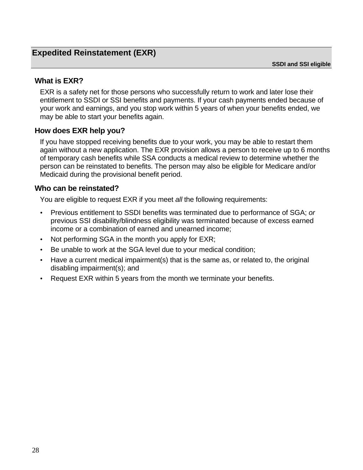# <span id="page-31-0"></span>**Expedited Reinstatement (EXR)**

**SSDI and SSI eligible** 

### **What is EXR?**

EXR is a safety net for those persons who successfully return to work and later lose their entitlement to SSDI or SSI benefits and payments. If your cash payments ended because of your work and earnings, and you stop work within 5 years of when your benefits ended, we may be able to start your benefits again.

### **How does EXR help you?**

If you have stopped receiving benefits due to your work, you may be able to restart them again without a new application. The EXR provision allows a person to receive up to 6 months of temporary cash benefits while SSA conducts a medical review to determine whether the person can be reinstated to benefits. The person may also be eligible for Medicare and/or Medicaid during the provisional benefit period.

### **Who can be reinstated?**

You are eligible to request EXR if you meet *all* the following requirements:

- **·** Previous entitlement to SSDI benefits was terminated due to performance of SGA; *or* previous SSI disability/blindness eligibility was terminated because of excess earned income or a combination of earned and unearned income;
- **·** Not performing SGA in the month you apply for EXR;
- **·** Be unable to work at the SGA level due to your medical condition;
- **·** Have a current medical impairment(s) that is the same as, or related to, the original disabling impairment(s); and
- **·** Request EXR within 5 years from the month we terminate your benefits.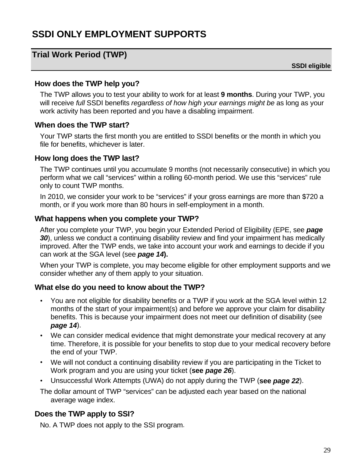# <span id="page-32-0"></span>**SSDI ONLY EMPLOYMENT SUPPORTS**

# **Trial Work Period (TWP)**

**SSDI eligible** 

#### **How does the TWP help you?**

The TWP allows you to test your ability to work for at least **9 months**. During your TWP, you will receive *full* SSDI benefits *regardless of how high your earnings might be* as long as your work activity has been reported and you have a disabling impairment.

### **When does the TWP start?**

Your TWP starts the first month you are entitled to SSDI benefits or the month in which you file for benefits, whichever is later.

### **How long does the TWP last?**

The TWP continues until you accumulate 9 months (not necessarily consecutive) in which you perform what we call "services" within a rolling 60-month period. We use this "services" rule only to count TWP months.

In 2010, we consider your work to be "services" if your gross earnings are more than \$720 a month, or if you work more than 80 hours in self-employment in a month.

### **What happens when you complete your TWP?**

After you complete your TWP, you begin your Extended Period of Eligibility (EPE, see *page 30*), unless we conduct a continuing disability review and find your impairment has medically improved. After the TWP ends, we take into account your work and earnings to decide if you can work at the SGA level (see *page 14***).**

When your TWP is complete, you may become eligible for other employment supports and we consider whether any of them apply to your situation.

### **What else do you need to know about the TWP?**

- **·** You are not eligible for disability benefits or a TWP if you work at the SGA level within 12 months of the start of your impairment(s) and before we approve your claim for disability benefits. This is because your impairment does not meet our definition of disability (see *page 14*).
- **·** We can consider medical evidence that might demonstrate your medical recovery at any time. Therefore, it is possible for your benefits to stop due to your medical recovery before the end of your TWP.
- **·** We will not conduct a continuing disability review if you are participating in the Ticket to Work program and you are using your ticket (**see** *page 26*).
- **·** Unsuccessful Work Attempts (UWA) do not apply during the TWP (**see** *page 22*).

The dollar amount of TWP "services" can be adjusted each year based on the national average wage index.

# **Does the TWP apply to SSI?**

No. A TWP does not apply to the SSI program.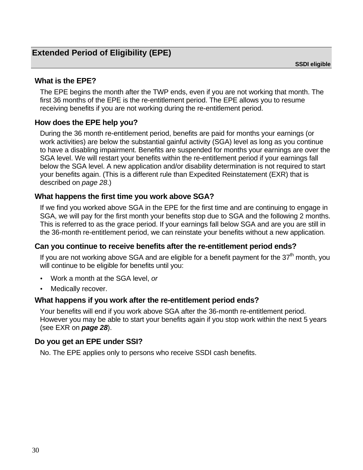# <span id="page-33-0"></span>**What is the EPE?**

The EPE begins the month after the TWP ends, even if you are not working that month. The first 36 months of the EPE is the re-entitlement period. The EPE allows you to resume receiving benefits if you are not working during the re-entitlement period.

# **How does the EPE help you?**

During the 36 month re-entitlement period, benefits are paid for months your earnings (or work activities) are below the substantial gainful activity (SGA) level as long as you continue to have a disabling impairment. Benefits are suspended for months your earnings are over the SGA level. We will restart your benefits within the re-entitlement period if your earnings fall below the SGA level. A new application and/or disability determination is not required to start your benefits again. (This is a different rule than Expedited Reinstatement (EXR) that is described on *page 28*.)

# **What happens the first time you work above SGA?**

If we find you worked above SGA in the EPE for the first time and are continuing to engage in SGA, we will pay for the first month your benefits stop due to SGA and the following 2 months. This is referred to as the grace period. If your earnings fall below SGA and are you are still in the 36-month re-entitlement period, we can reinstate your benefits without a new application.

# **Can you continue to receive benefits after the re-entitlement period ends?**

If you are not working above SGA and are eligible for a benefit payment for the  $37<sup>th</sup>$  month, you will continue to be eligible for benefits until you:

- **·** Work a month at the SGA level, *or*
- **·** Medically recover.

# **What happens if you work after the re-entitlement period ends?**

Your benefits will end if you work above SGA after the 36-month re-entitlement period. However you may be able to start your benefits again if you stop work within the next 5 years (see EXR on *page 28*).

# **Do you get an EPE under SSI?**

No. The EPE applies only to persons who receive SSDI cash benefits.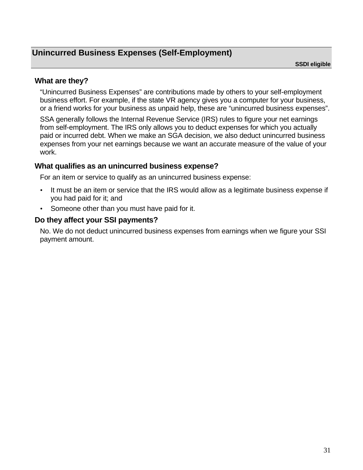# <span id="page-34-0"></span>**Unincurred Business Expenses (Self-Employment)**

**SSDI eligible** 

### **What are they?**

"Unincurred Business Expenses" are contributions made by others to your self-employment business effort. For example, if the state VR agency gives you a computer for your business, or a friend works for your business as unpaid help, these are "unincurred business expenses".

SSA generally follows the Internal Revenue Service (IRS) rules to figure your net earnings from self-employment. The IRS only allows you to deduct expenses for which you actually paid or incurred debt. When we make an SGA decision, we also deduct unincurred business expenses from your net earnings because we want an accurate measure of the value of your work.

### **What qualifies as an unincurred business expense?**

For an item or service to qualify as an unincurred business expense:

- **·** It must be an item or service that the IRS would allow as a legitimate business expense if you had paid for it; and
- **·** Someone other than you must have paid for it.

### **Do they affect your SSI payments?**

No. We do not deduct unincurred business expenses from earnings when we figure your SSI payment amount.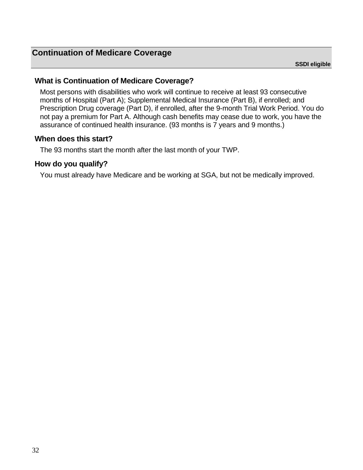# <span id="page-35-0"></span>**What is Continuation of Medicare Coverage?**

Most persons with disabilities who work will continue to receive at least 93 consecutive months of Hospital (Part A); Supplemental Medical Insurance (Part B), if enrolled; and Prescription Drug coverage (Part D), if enrolled, after the 9-month Trial Work Period. You do not pay a premium for Part A. Although cash benefits may cease due to work, you have the assurance of continued health insurance. (93 months is 7 years and 9 months.)

### **When does this start?**

The 93 months start the month after the last month of your TWP.

# **How do you qualify?**

You must already have Medicare and be working at SGA, but not be medically improved.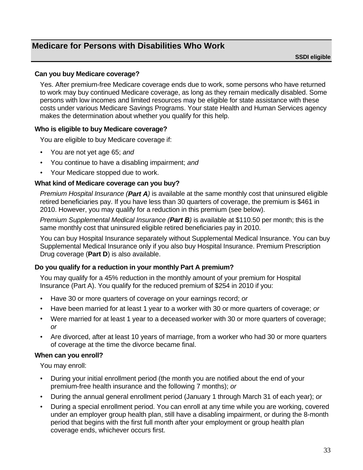# <span id="page-36-0"></span>**Medicare for Persons with Disabilities Who Work**

**SSDI eligible** 

#### **Can you buy Medicare coverage?**

Yes. After premium-free Medicare coverage ends due to work, some persons who have returned to work may buy continued Medicare coverage, as long as they remain medically disabled. Some persons with low incomes and limited resources may be eligible for state assistance with these costs under various Medicare Savings Programs. Your state Health and Human Services agency makes the determination about whether you qualify for this help.

#### **Who is eligible to buy Medicare coverage?**

You are eligible to buy Medicare coverage if:

- **·** You are not yet age 65; *and*
- **·** You continue to have a disabling impairment; *and*
- **·** Your Medicare stopped due to work.

#### **What kind of Medicare coverage can you buy?**

*Premium Hospital Insurance (Part A)* is available at the same monthly cost that uninsured eligible retired beneficiaries pay. If you have less than 30 quarters of coverage, the premium is \$461 in 2010. However, you may qualify for a reduction in this premium (see below).

*Premium Supplemental Medical Insurance (Part B)* is available at \$110.50 per month; this is the same monthly cost that uninsured eligible retired beneficiaries pay in 2010.

You can buy Hospital Insurance separately without Supplemental Medical Insurance. You can buy Supplemental Medical Insurance only if you also buy Hospital Insurance. Premium Prescription Drug coverage (**Part D**) is also available.

#### **Do you qualify for a reduction in your monthly Part A premium?**

You may qualify for a 45% reduction in the monthly amount of your premium for Hospital Insurance (Part A). You qualify for the reduced premium of \$254 in 2010 if you:

- **·** Have 30 or more quarters of coverage on your earnings record; *or*
- **·** Have been married for at least 1 year to a worker with 30 or more quarters of coverage; *or*
- **·** Were married for at least 1 year to a deceased worker with 30 or more quarters of coverage; *or*
- **·** Are divorced, after at least 10 years of marriage, from a worker who had 30 or more quarters of coverage at the time the divorce became final.

#### **When can you enroll?**

You may enroll:

- **·** During your initial enrollment period (the month you are notified about the end of your premium-free health insurance and the following 7 months); *or*
- **·** During the annual general enrollment period (January 1 through March 31 of each year); *or*
- **·** During a special enrollment period. You can enroll at any time while you are working, covered under an employer group health plan, still have a disabling impairment, or during the 8-month period that begins with the first full month after your employment or group health plan coverage ends, whichever occurs first.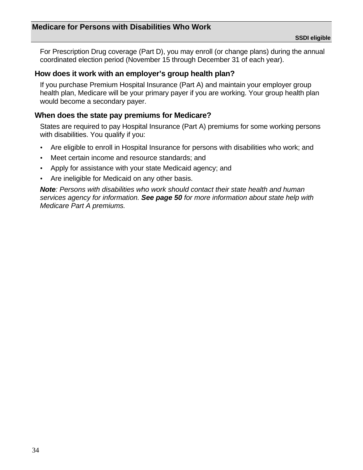For Prescription Drug coverage (Part D), you may enroll (or change plans) during the annual coordinated election period (November 15 through December 31 of each year).

### **How does it work with an employer's group health plan?**

If you purchase Premium Hospital Insurance (Part A) and maintain your employer group health plan, Medicare will be your primary payer if you are working. Your group health plan would become a secondary payer.

### **When does the state pay premiums for Medicare?**

States are required to pay Hospital Insurance (Part A) premiums for some working persons with disabilities. You qualify if you:

- **·** Are eligible to enroll in Hospital Insurance for persons with disabilities who work; and
- **·** Meet certain income and resource standards; and
- **·** Apply for assistance with your state Medicaid agency; and
- **·** Are ineligible for Medicaid on any other basis.

*Note: Persons with disabilities who work should contact their state health and human services agency for information. See page 50 for more information about state help with Medicare Part A premiums.*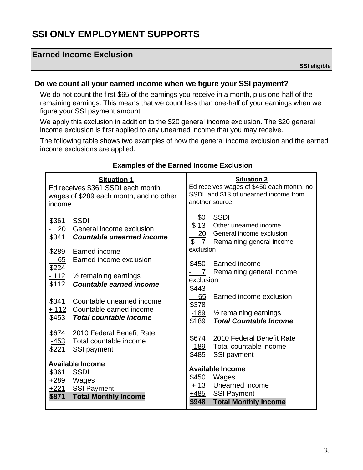# <span id="page-38-0"></span>**SSI ONLY EMPLOYMENT SUPPORTS**

# **Earned Income Exclusion**

**SSI eligible** 

### **Do we count all your earned income when we figure your SSI payment?**

We do not count the first \$65 of the earnings you receive in a month, plus one-half of the remaining earnings. This means that we count less than one-half of your earnings when we figure your SSI payment amount.

We apply this exclusion in addition to the \$20 general income exclusion. The \$20 general income exclusion is first applied to any unearned income that you may receive.

The following table shows two examples of how the general income exclusion and the earned income exclusions are applied.

| income.                       | <b>Situation 1</b><br>Ed receives \$361 SSDI each month,<br>wages of \$289 each month, and no other | <b>Situation 2</b><br>Ed receives wages of \$450 each month, no<br>SSDI, and \$13 of unearned income from<br>another source. |                                                                                                              |
|-------------------------------|-----------------------------------------------------------------------------------------------------|------------------------------------------------------------------------------------------------------------------------------|--------------------------------------------------------------------------------------------------------------|
| \$361<br>\$341<br>\$289       | <b>SSDI</b><br>- 20 General income exclusion<br><b>Countable unearned income</b><br>Earned income   | \$13<br>$\mathfrak{L}$<br>$7\overline{ }$<br>exclusion                                                                       | \$0 SSDI<br>Other unearned income<br>20 General income exclusion<br>Remaining general income                 |
| <u>- 65</u><br>\$224<br>\$112 | Earned income exclusion<br>- 112 % remaining earnings<br><b>Countable earned income</b>             | \$450<br>7 <sup>7</sup><br>exclusion<br>\$443                                                                                | Earned income<br>Remaining general income                                                                    |
| \$341<br>\$453                | Countable unearned income<br>+ 112 Countable earned income<br><b>Total countable income</b>         | 65<br>\$378<br><u>-189</u><br>\$189                                                                                          | Earned income exclusion<br>$\frac{1}{2}$ remaining earnings<br><b>Total Countable Income</b>                 |
| \$221                         | \$674 2010 Federal Benefit Rate<br>-453 Total countable income<br>SSI payment                       | \$674<br><u>-189</u><br>\$485                                                                                                | 2010 Federal Benefit Rate<br>Total countable income<br>SSI payment                                           |
| \$361<br>$+289$<br>\$871      | <b>Available Income</b><br><b>SSDI</b><br>Wages<br>+221 SSI Payment<br><b>Total Monthly Income</b>  | \$450<br><u>+485</u><br>\$948                                                                                                | <b>Available Income</b><br>Wages<br>+13 Unearned income<br><b>SSI Payment</b><br><b>Total Monthly Income</b> |

#### **Examples of the Earned Income Exclusion**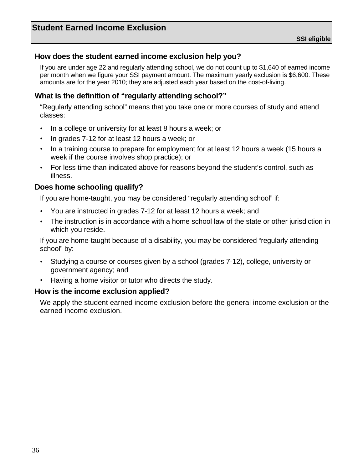### <span id="page-39-0"></span>**How does the student earned income exclusion help you?**

If you are under age 22 and regularly attending school, we do not count up to \$1,640 of earned income per month when we figure your SSI payment amount. The maximum yearly exclusion is \$6,600. These amounts are for the year 2010; they are adjusted each year based on the cost-of-living.

### **What is the definition of "regularly attending school?"**

"Regularly attending school" means that you take one or more courses of study and attend classes:

- **·** In a college or university for at least 8 hours a week; or
- **·** In grades 7-12 for at least 12 hours a week; or
- **·** In a training course to prepare for employment for at least 12 hours a week (15 hours a week if the course involves shop practice); or
- **·** For less time than indicated above for reasons beyond the student's control, such as illness.

### **Does home schooling qualify?**

If you are home-taught, you may be considered "regularly attending school" if:

- **·** You are instructed in grades 7-12 for at least 12 hours a week; and
- **·** The instruction is in accordance with a home school law of the state or other jurisdiction in which you reside.

If you are home-taught because of a disability, you may be considered "regularly attending school" by:

- **·** Studying a course or courses given by a school (grades 7-12), college, university or government agency; and
- **·** Having a home visitor or tutor who directs the study.

#### **How is the income exclusion applied?**

We apply the student earned income exclusion before the general income exclusion or the earned income exclusion.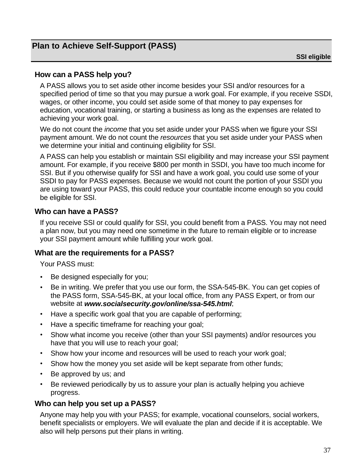# <span id="page-40-0"></span>**Plan to Achieve Self-Support (PASS)**

### **How can a PASS help you?**

A PASS allows you to set aside other income besides your SSI and/or resources for a specified period of time so that you may pursue a work goal. For example, if you receive SSDI, wages, or other income, you could set aside some of that money to pay expenses for education, vocational training, or starting a business as long as the expenses are related to achieving your work goal.

We do not count the *income* that you set aside under your PASS when we figure your SSI payment amount. We do not count the *resources* that you set aside under your PASS when we determine your initial and continuing eligibility for SSI.

A PASS can help you establish or maintain SSI eligibility and may increase your SSI payment amount. For example, if you receive \$800 per month in SSDI, you have too much income for SSI. But if you otherwise qualify for SSI and have a work goal, you could use some of your SSDI to pay for PASS expenses. Because we would not count the portion of your SSDI you are using toward your PASS, this could reduce your countable income enough so you could be eligible for SSI.

### **Who can have a PASS?**

If you receive SSI or could qualify for SSI, you could benefit from a PASS. You may not need a plan now, but you may need one sometime in the future to remain eligible or to increase your SSI payment amount while fulfilling your work goal.

#### **What are the requirements for a PASS?**

Your PASS must:

- **·** Be designed especially for you;
- **·** Be in writing. We prefer that you use our form, the SSA-545-BK. You can get copies of the PASS form, SSA-545-BK, at your local office, from any PASS Expert, or from our website at *[www.socialsecurity.gov/online/ssa-545.html](http://www.ssa.gov/online/ssa-545.html)*;
- **·** Have a specific work goal that you are capable of performing;
- **·** Have a specific timeframe for reaching your goal;
- **·** Show what income you receive (other than your SSI payments) and/or resources you have that you will use to reach your goal;
- **·** Show how your income and resources will be used to reach your work goal;
- **·** Show how the money you set aside will be kept separate from other funds;
- **·** Be approved by us; and
- **·** Be reviewed periodically by us to assure your plan is actually helping you achieve progress.

### **Who can help you set up a PASS?**

Anyone may help you with your PASS; for example, vocational counselors, social workers, benefit specialists or employers. We will evaluate the plan and decide if it is acceptable. We also will help persons put their plans in writing.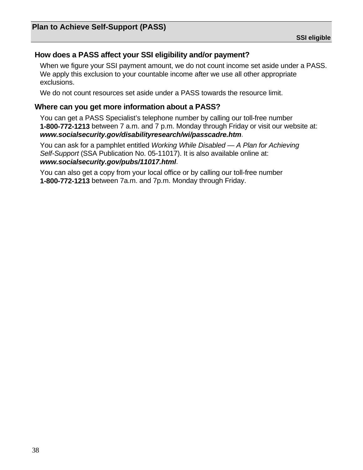# **How does a PASS affect your SSI eligibility and/or payment?**

When we figure your SSI payment amount, we do not count income set aside under a PASS. We apply this exclusion to your countable income after we use all other appropriate exclusions.

We do not count resources set aside under a PASS towards the resource limit.

### **Where can you get more information about a PASS?**

You can get a PASS Specialist's telephone number by calling our toll-free number **1-800-772-1213** between 7 a.m. and 7 p.m. Monday through Friday or visit our website at: *[www.socialsecurity.gov/disabilityresearch/wi/passcadre.htm](http://www.socialsecurity.gov/disabilityresearch/wi/passcadre.htm)*.

You can ask for a pamphlet entitled *Working While Disabled — A Plan for Achieving Self-Support* (SSA Publication No. 05-11017). It is also available online at: *[www.socialsecurity.gov/pubs/11017.html](http://www.ssa.gov/pubs/11017.html)*.

You can also get a copy from your local office or by calling our toll-free number **1-800-772-1213** between 7a.m. and 7p.m. Monday through Friday.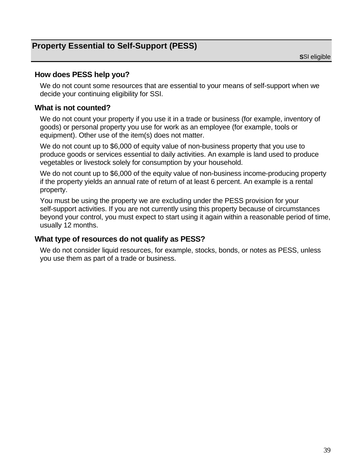# <span id="page-42-0"></span>**Property Essential to Self-Support (PESS)**

### **How does PESS help you?**

We do not count some resources that are essential to your means of self-support when we decide your continuing eligibility for SSI.

### **What is not counted?**

We do not count your property if you use it in a trade or business (for example, inventory of goods) or personal property you use for work as an employee (for example, tools or equipment). Other use of the item(s) does not matter.

We do not count up to \$6,000 of equity value of non-business property that you use to produce goods or services essential to daily activities. An example is land used to produce vegetables or livestock solely for consumption by your household.

We do not count up to \$6,000 of the equity value of non-business income-producing property if the property yields an annual rate of return of at least 6 percent. An example is a rental property.

You must be using the property we are excluding under the PESS provision for your self-support activities. If you are not currently using this property because of circumstances beyond your control, you must expect to start using it again within a reasonable period of time, usually 12 months.

#### **What type of resources do not qualify as PESS?**

We do not consider liquid resources, for example, stocks, bonds, or notes as PESS, unless you use them as part of a trade or business.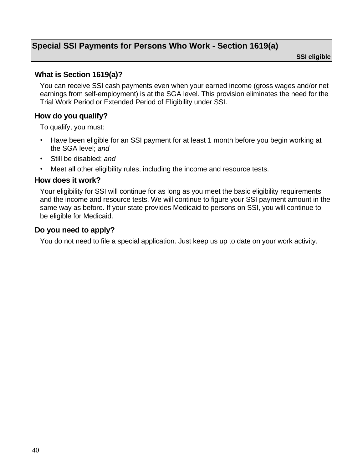# <span id="page-43-0"></span>**Special SSI Payments for Persons Who Work - Section 1619(a)**

**SSI eligible** 

### **What is Section 1619(a)?**

You can receive SSI cash payments even when your earned income (gross wages and/or net earnings from self-employment) is at the SGA level. This provision eliminates the need for the Trial Work Period or Extended Period of Eligibility under SSI.

### **How do you qualify?**

To qualify, you must:

- **·** Have been eligible for an SSI payment for at least 1 month before you begin working at the SGA level; *and*
- **·** Still be disabled; *and*
- **·** Meet all other eligibility rules, including the income and resource tests.

#### **How does it work?**

Your eligibility for SSI will continue for as long as you meet the basic eligibility requirements and the income and resource tests. We will continue to figure your SSI payment amount in the same way as before. If your state provides Medicaid to persons on SSI, you will continue to be eligible for Medicaid.

#### **Do you need to apply?**

You do not need to file a special application. Just keep us up to date on your work activity.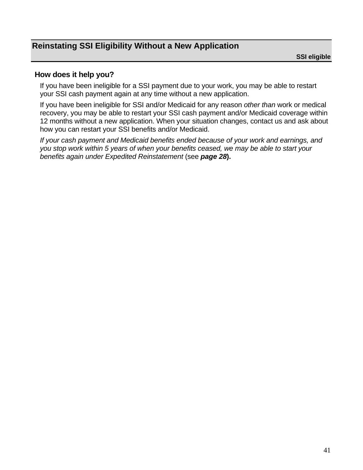# <span id="page-44-0"></span>**Reinstating SSI Eligibility Without a New Application**

### **How does it help you?**

If you have been ineligible for a SSI payment due to your work, you may be able to restart your SSI cash payment again at any time without a new application.

If you have been ineligible for SSI and/or Medicaid for any reason *other than* work or medical recovery, you may be able to restart your SSI cash payment and/or Medicaid coverage within 12 months without a new application. When your situation changes, contact us and ask about how you can restart your SSI benefits and/or Medicaid.

*If your cash payment and Medicaid benefits ended because of your work and earnings, and you stop work within 5 years of when your benefits ceased, we may be able to start your benefits again under Expedited Reinstatement* (see *page 28***).**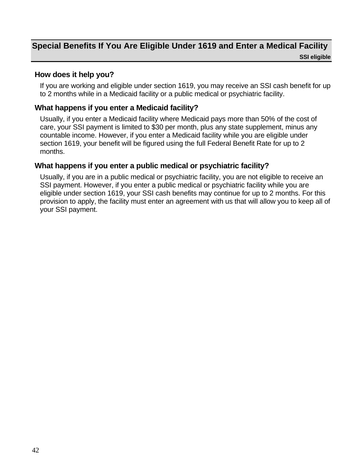# <span id="page-45-0"></span>**Special Benefits If You Are Eligible Under 1619 and Enter a Medical Facility SSI eligible**

### **How does it help you?**

If you are working and eligible under section 1619, you may receive an SSI cash benefit for up to 2 months while in a Medicaid facility or a public medical or psychiatric facility.

### **What happens if you enter a Medicaid facility?**

Usually, if you enter a Medicaid facility where Medicaid pays more than 50% of the cost of care, your SSI payment is limited to \$30 per month, plus any state supplement, minus any countable income. However, if you enter a Medicaid facility while you are eligible under section 1619, your benefit will be figured using the full Federal Benefit Rate for up to 2 months.

### **What happens if you enter a public medical or psychiatric facility?**

Usually, if you are in a public medical or psychiatric facility, you are not eligible to receive an SSI payment. However, if you enter a public medical or psychiatric facility while you are eligible under section 1619, your SSI cash benefits may continue for up to 2 months. For this provision to apply, the facility must enter an agreement with us that will allow you to keep all of your SSI payment.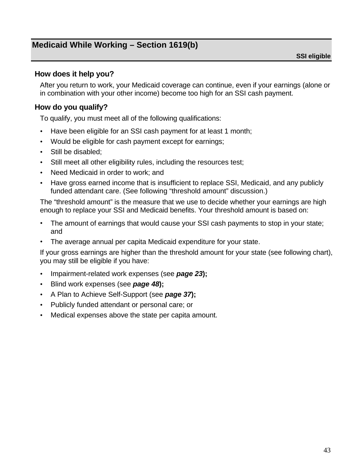# <span id="page-46-0"></span>**Medicaid While Working – Section 1619(b)**

### **How does it help you?**

After you return to work, your Medicaid coverage can continue, even if your earnings (alone or in combination with your other income) become too high for an SSI cash payment.

## **How do you qualify?**

To qualify, you must meet all of the following qualifications:

- **·** Have been eligible for an SSI cash payment for at least 1 month;
- **·** Would be eligible for cash payment except for earnings;
- **·** Still be disabled;
- **·** Still meet all other eligibility rules, including the resources test;
- **·** Need Medicaid in order to work; and
- **·** Have gross earned income that is insufficient to replace SSI, Medicaid, and any publicly funded attendant care. (See following "threshold amount" discussion.)

The "threshold amount" is the measure that we use to decide whether your earnings are high enough to replace your SSI and Medicaid benefits. Your threshold amount is based on:

- **·** The amount of earnings that would cause your SSI cash payments to stop in your state; and
- **·** The average annual per capita Medicaid expenditure for your state.

If your gross earnings are higher than the threshold amount for your state (see following chart), you may still be eligible if you have:

- **·** Impairment-related work expenses (see *page 23***);**
- **·** Blind work expenses (see *page 48***);**
- **·** A Plan to Achieve Self-Support (see *page 37***);**
- **·** Publicly funded attendant or personal care; or
- **·** Medical expenses above the state per capita amount.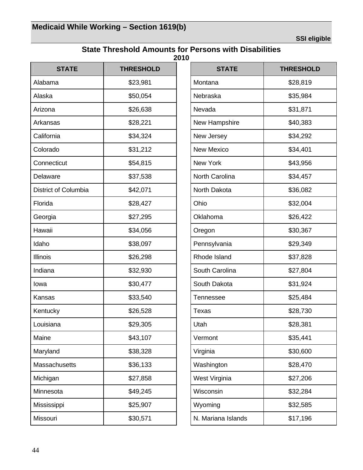**SSI eligible** 

### **State Threshold Amounts for Persons with Disabilities 2010**

<span id="page-47-0"></span>

| <b>STATE</b>                | <b>THRESHOLD</b> |  |
|-----------------------------|------------------|--|
| Alabama                     | \$23,981         |  |
| Alaska                      | \$50,054         |  |
| Arizona                     | \$26,638         |  |
| Arkansas                    | \$28,221         |  |
| California                  | \$34,324         |  |
| Colorado                    | \$31,212         |  |
| Connecticut                 | \$54,815         |  |
| Delaware                    | \$37,538         |  |
| <b>District of Columbia</b> | \$42,071         |  |
| Florida                     | \$28,427         |  |
| Georgia                     | \$27,295         |  |
| Hawaii                      | \$34,056         |  |
| Idaho                       | \$38,097         |  |
| <b>Illinois</b>             | \$26,298         |  |
| Indiana                     | \$32,930         |  |
| Iowa                        | \$30,477         |  |
| Kansas                      | \$33,540         |  |
| Kentucky                    | \$26,528         |  |
| Louisiana                   | \$29,305         |  |
| Maine                       | \$43,107         |  |
| Maryland                    | \$38,328         |  |
| Massachusetts               | \$36,133         |  |
| Michigan                    | \$27,858         |  |
| Minnesota                   | \$49,245         |  |
| Mississippi                 | \$25,907         |  |
| Missouri                    | \$30,571         |  |

| <b>STATE</b>          | <b>THRESHOLD</b> |  |
|-----------------------|------------------|--|
| Montana               | \$28,819         |  |
| Nebraska              | \$35,984         |  |
| Nevada                | \$31,871         |  |
| New Hampshire         | \$40,383         |  |
| New Jersey            | \$34,292         |  |
| <b>New Mexico</b>     | \$34,401         |  |
| New York              | \$43,956         |  |
| <b>North Carolina</b> | \$34,457         |  |
| North Dakota          | \$36,082         |  |
| Ohio                  | \$32,004         |  |
| Oklahoma              | \$26,422         |  |
| Oregon                | \$30,367         |  |
| Pennsylvania          | \$29,349         |  |
| Rhode Island          | \$37,828         |  |
| South Carolina        | \$27,804         |  |
| South Dakota          | \$31,924         |  |
| Tennessee             | \$25,484         |  |
| Texas                 | \$28,730         |  |
| Utah                  | \$28,381         |  |
| Vermont               | \$35,441         |  |
| Virginia              | \$30,600         |  |
| Washington            | \$28,470         |  |
| West Virginia         | \$27,206         |  |
| Wisconsin             | \$32,284         |  |
| Wyoming               | \$32,585         |  |
| N. Mariana Islands    | \$17,196         |  |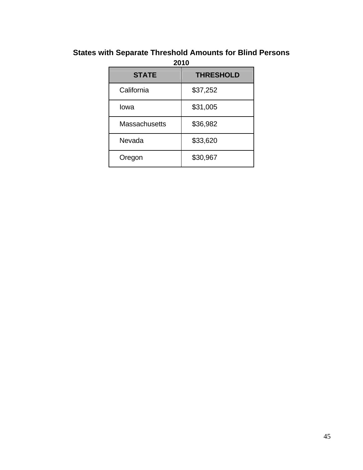# <span id="page-48-0"></span>**States with Separate Threshold Amounts for Blind Persons**

| 2010                 |                  |  |
|----------------------|------------------|--|
| <b>STATE</b>         | <b>THRESHOLD</b> |  |
| California           | \$37,252         |  |
| Iowa                 | \$31,005         |  |
| <b>Massachusetts</b> | \$36,982         |  |
| Nevada               | \$33,620         |  |
| Oregon               | \$30,967         |  |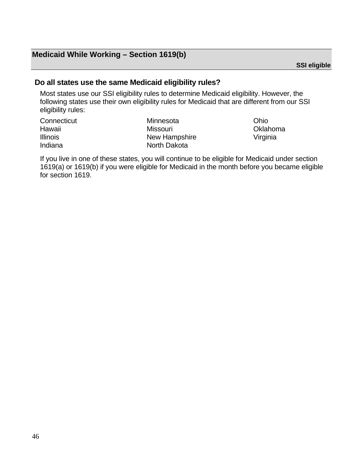# **Medicaid While Working – Section 1619(b)**

**SSI eligible** 

### **Do all states use the same Medicaid eligibility rules?**

Most states use our SSI eligibility rules to determine Medicaid eligibility. However, the following states use their own eligibility rules for Medicaid that are different from our SSI eligibility rules:

| Connecticut     | Minnesota     | Ohio     |
|-----------------|---------------|----------|
| Hawaii          | Missouri      | Oklahoma |
| <b>Illinois</b> | New Hampshire | Virginia |
| Indiana         | North Dakota  |          |

If you live in one of these states, you will continue to be eligible for Medicaid under section 1619(a) or 1619(b) if you were eligible for Medicaid in the month before you became eligible for section 1619.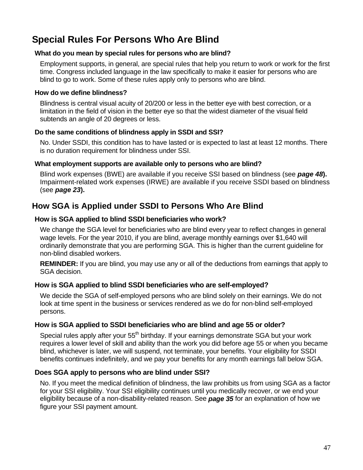# <span id="page-50-0"></span>**Special Rules For Persons Who Are Blind**

#### **What do you mean by special rules for persons who are blind?**

Employment supports, in general, are special rules that help you return to work or work for the first time. Congress included language in the law specifically to make it easier for persons who are blind to go to work. Some of these rules apply only to persons who are blind.

#### **How do we define blindness?**

Blindness is central visual acuity of 20/200 or less in the better eye with best correction, or a limitation in the field of vision in the better eye so that the widest diameter of the visual field subtends an angle of 20 degrees or less.

#### **Do the same conditions of blindness apply in SSDI and SSI?**

No. Under SSDI, this condition has to have lasted or is expected to last at least 12 months. There is no duration requirement for blindness under SSI.

#### **What employment supports are available only to persons who are blind?**

Blind work expenses (BWE) are available if you receive SSI based on blindness (see *page 48***).** Impairment-related work expenses (IRWE) are available if you receive SSDI based on blindness (see *page 23***).**

# **How SGA is Applied under SSDI to Persons Who Are Blind**

### **How is SGA applied to blind SSDI beneficiaries who work?**

We change the SGA level for beneficiaries who are blind every year to reflect changes in general wage levels. For the year 2010, if you are blind, average monthly earnings over \$1,640 will ordinarily demonstrate that you are performing SGA. This is higher than the current guideline for non-blind disabled workers.

**REMINDER:** If you are blind, you may use any or all of the deductions from earnings that apply to SGA decision.

#### **How is SGA applied to blind SSDI beneficiaries who are self-employed?**

We decide the SGA of self-employed persons who are blind solely on their earnings. We do not look at time spent in the business or services rendered as we do for non-blind self-employed persons.

#### **How is SGA applied to SSDI beneficiaries who are blind and age 55 or older?**

Special rules apply after your 55<sup>th</sup> birthday. If your earnings demonstrate SGA but your work requires a lower level of skill and ability than the work you did before age 55 or when you became blind, whichever is later, we will suspend, not terminate, your benefits. Your eligibility for SSDI benefits continues indefinitely, and we pay your benefits for any month earnings fall below SGA.

#### **Does SGA apply to persons who are blind under SSI?**

No. If you meet the medical definition of blindness, the law prohibits us from using SGA as a factor for your SSI eligibility. Your SSI eligibility continues until you medically recover, or we end your eligibility because of a non-disability-related reason. See *page 35* for an explanation of how we figure your SSI payment amount.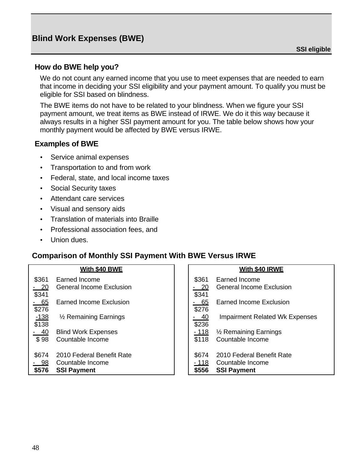### <span id="page-51-0"></span>**How do BWE help you?**

We do not count any earned income that you use to meet expenses that are needed to earn that income in deciding your SSI eligibility and your payment amount. To qualify you must be eligible for SSI based on blindness.

The BWE items do not have to be related to your blindness. When we figure your SSI payment amount, we treat items as BWE instead of IRWE. We do it this way because it always results in a higher SSI payment amount for you. The table below shows how your monthly payment would be affected by BWE versus IRWE.

### **Examples of BWE**

- **·** Service animal expenses
- **·** Transportation to and from work
- **·** Federal, state, and local income taxes
- **·** Social Security taxes
- **·** Attendant care services
- **·** Visual and sensory aids
- **·** Translation of materials into Braille
- **·** Professional association fees, and
- **·** Union dues.

### **Comparison of Monthly SSI Payment With BWE Versus IRWE**

| With \$40 BWE   |                                  | With \$40 IRWE |                                       |
|-----------------|----------------------------------|----------------|---------------------------------------|
| \$361           | Earned Income                    | \$361          | Earned Income                         |
| $-20$<br>\$341  | <b>General Income Exclusion</b>  | $-20$<br>\$341 | <b>General Income Exclusion</b>       |
| $-65$<br>\$276  | Earned Income Exclusion          | - 65<br>\$276  | <b>Earned Income Exclusion</b>        |
| $-138$<br>\$138 | $\frac{1}{2}$ Remaining Earnings | $-40$<br>\$236 | <b>Impairment Related Wk Expenses</b> |
| $-40$           | <b>Blind Work Expenses</b>       | <u> 118</u>    | 1/ <sub>2</sub> Remaining Earnings    |
| \$98            | Countable Income                 | \$118          | Countable Income                      |
| \$674           | 2010 Federal Benefit Rate        | \$674          | 2010 Federal Benefit Rate             |
| $-98$           | Countable Income                 | $-118$         | Countable Income                      |
| \$576           | <b>SSI Payment</b>               | \$556          | <b>SSI Payment</b>                    |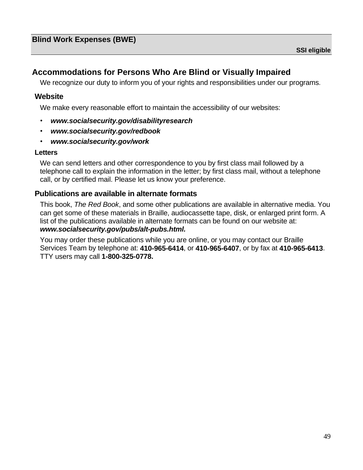# <span id="page-52-0"></span>**Accommodations for Persons Who Are Blind or Visually Impaired**

We recognize our duty to inform you of your rights and responsibilities under our programs.

### **Website**

We make every reasonable effort to maintain the accessibility of our websites:

- **·** *[www.socialsecurity.gov/disabilityresearch](http://www.socialsecurity.gov/disabilityresearch)*
- **·** *[www.socialsecurity.gov/redbook](http://www.socialsecurity.gov/redbook)*
- **·** *[www.socialsecurity.gov/work](http://www.socialsecurity.gov/work)*

#### **Letters**

We can send letters and other correspondence to you by first class mail followed by a telephone call to explain the information in the letter; by first class mail, without a telephone call, or by certified mail. Please let us know your preference.

### **Publications are available in alternate formats**

This book, *The Red Book*, and some other publications are available in alternative media. You can get some of these materials in Braille, audiocassette tape, disk, or enlarged print form. A list of the publications available in alternate formats can be found on our website at: *[www.socialsecurity.gov/pubs/alt-pubs.html.](http://www.socialsecurity.gov/pubs/alt-pubs.html)*

You may order these publications while you are online, or you may contact our Braille Services Team by telephone at: **410-965-6414**, or **410-965-6407**, or by fax at **410-965-6413**. TTY users may call **1-800-325-0778.**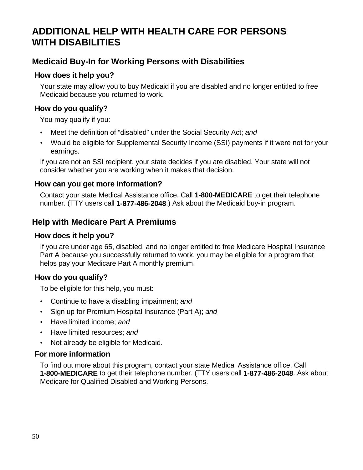# <span id="page-53-0"></span>**ADDITIONAL HELP WITH HEALTH CARE FOR PERSONS WITH DISABILITIES**

# **Medicaid Buy-In for Working Persons with Disabilities**

## **How does it help you?**

Your state may allow you to buy Medicaid if you are disabled and no longer entitled to free Medicaid because you returned to work.

# **How do you qualify?**

You may qualify if you:

- **·** Meet the definition of "disabled" under the Social Security Act; *and*
- **·** Would be eligible for Supplemental Security Income (SSI) payments if it were not for your earnings.

If you are not an SSI recipient, your state decides if you are disabled. Your state will not consider whether you are working when it makes that decision.

### **How can you get more information?**

Contact your state Medical Assistance office. Call **1-800-MEDICARE** to get their telephone number. (TTY users call **1-877-486-2048**.) Ask about the Medicaid buy-in program.

# **Help with Medicare Part A Premiums**

### **How does it help you?**

If you are under age 65, disabled, and no longer entitled to free Medicare Hospital Insurance Part A because you successfully returned to work, you may be eligible for a program that helps pay your Medicare Part A monthly premium.

# **How do you qualify?**

To be eligible for this help, you must:

- **·** Continue to have a disabling impairment; *and*
- **·** Sign up for Premium Hospital Insurance (Part A); *and*
- **·** Have limited income; *and*
- **·** Have limited resources; *and*
- **·** Not already be eligible for Medicaid.

# **For more information**

To find out more about this program, contact your state Medical Assistance office. Call **1-800-MEDICARE** to get their telephone number. (TTY users call **1-877-486-2048**. Ask about Medicare for Qualified Disabled and Working Persons.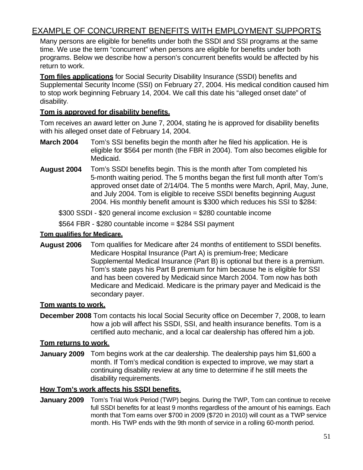# <span id="page-54-0"></span>EXAMPLE OF CONCURRENT BENEFITS WITH EMPLOYMENT SUPPORTS

Many persons are eligible for benefits under both the SSDI and SSI programs at the same time. We use the term "concurrent" when persons are eligible for benefits under both programs. Below we describe how a person's concurrent benefits would be affected by his return to work.

**Tom files applications** for Social Security Disability Insurance (SSDI) benefits and Supplemental Security Income (SSI) on February 27, 2004. His medical condition caused him to stop work beginning February 14, 2004. We call this date his "alleged onset date" of disability.

### **Tom is approved for disability benefits.**

Tom receives an award letter on June 7, 2004, stating he is approved for disability benefits with his alleged onset date of February 14, 2004.

- **March 2004** Tom's SSI benefits begin the month after he filed his application. He is eligible for \$564 per month (the FBR in 2004). Tom also becomes eligible for Medicaid.
- **August 2004** Tom's SSDI benefits begin. This is the month after Tom completed his 5-month waiting period. The 5 months began the first full month after Tom's approved onset date of 2/14/04. The 5 months were March, April, May, June, and July 2004. Tom is eligible to receive SSDI benefits beginning August 2004. His monthly benefit amount is \$300 which reduces his SSI to \$284:

\$300 SSDI - \$20 general income exclusion = \$280 countable income

 $$564$  FBR -  $$280$  countable income =  $$284$  SSI payment

#### **Tom qualifies for Medicare.**

**August 2006** Tom qualifies for Medicare after 24 months of entitlement to SSDI benefits. Medicare Hospital Insurance (Part A) is premium-free; Medicare Supplemental Medical Insurance (Part B) is optional but there is a premium. Tom's state pays his Part B premium for him because he is eligible for SSI and has been covered by Medicaid since March 2004. Tom now has both Medicare and Medicaid. Medicare is the primary payer and Medicaid is the secondary payer.

### **Tom wants to work.**

**December 2008** Tom contacts his local Social Security office on December 7, 2008, to learn how a job will affect his SSDI, SSI, and health insurance benefits. Tom is a certified auto mechanic, and a local car dealership has offered him a job.

### **Tom returns to work**.

**January 2009** Tom begins work at the car dealership. The dealership pays him \$1,600 a month. If Tom's medical condition is expected to improve, we may start a continuing disability review at any time to determine if he still meets the disability requirements.

### **How Tom's work affects his SSDI benefits**.

**January 2009** Tom's Trial Work Period (TWP) begins. During the TWP, Tom can continue to receive full SSDI benefits for at least 9 months regardless of the amount of his earnings. Each month that Tom earns over \$700 in 2009 (\$720 in 2010) will count as a TWP service month. His TWP ends with the 9th month of service in a rolling 60-month period.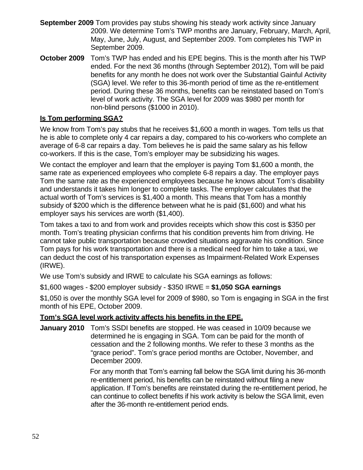- **September 2009** Tom provides pay stubs showing his steady work activity since January 2009. We determine Tom's TWP months are January, February, March, April, May, June, July, August, and September 2009. Tom completes his TWP in September 2009.
- **October 2009** Tom's TWP has ended and his EPE begins. This is the month after his TWP ended. For the next 36 months (through September 2012), Tom will be paid benefits for any month he does not work over the Substantial Gainful Activity (SGA) level. We refer to this 36-month period of time as the re-entitlement period. During these 36 months, benefits can be reinstated based on Tom's level of work activity. The SGA level for 2009 was \$980 per month for non-blind persons (\$1000 in 2010).

## **Is Tom performing SGA?**

We know from Tom's pay stubs that he receives \$1,600 a month in wages. Tom tells us that he is able to complete only 4 car repairs a day, compared to his co-workers who complete an average of 6-8 car repairs a day. Tom believes he is paid the same salary as his fellow co-workers. If this is the case, Tom's employer may be subsidizing his wages.

We contact the employer and learn that the employer is paying Tom \$1,600 a month, the same rate as experienced employees who complete 6-8 repairs a day. The employer pays Tom the same rate as the experienced employees because he knows about Tom's disability and understands it takes him longer to complete tasks. The employer calculates that the actual worth of Tom's services is \$1,400 a month. This means that Tom has a monthly subsidy of \$200 which is the difference between what he is paid (\$1,600) and what his employer says his services are worth (\$1,400).

Tom takes a taxi to and from work and provides receipts which show this cost is \$350 per month. Tom's treating physician confirms that his condition prevents him from driving. He cannot take public transportation because crowded situations aggravate his condition. Since Tom pays for his work transportation and there is a medical need for him to take a taxi, we can deduct the cost of his transportation expenses as Impairment-Related Work Expenses (IRWE).

We use Tom's subsidy and IRWE to calculate his SGA earnings as follows:

\$1,600 wages - \$200 employer subsidy - \$350 IRWE = **\$1,050 SGA earnings**

\$1,050 is over the monthly SGA level for 2009 of \$980, so Tom is engaging in SGA in the first month of his EPE, October 2009.

### **Tom's SGA level work activity affects his benefits in the EPE.**

**January 2010** Tom's SSDI benefits are stopped. He was ceased in 10/09 because we determined he is engaging in SGA. Tom can be paid for the month of cessation and the 2 following months. We refer to these 3 months as the "grace period". Tom's grace period months are October, November, and December 2009.

> For any month that Tom's earning fall below the SGA limit during his 36-month re-entitlement period, his benefits can be reinstated without filing a new application. If Tom's benefits are reinstated during the re-entitlement period, he can continue to collect benefits if his work activity is below the SGA limit, even after the 36-month re-entitlement period ends.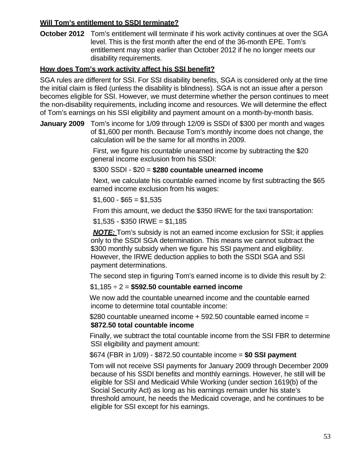### **Will Tom's entitlement to SSDI terminate?**

**October 2012** Tom's entitlement will terminate if his work activity continues at over the SGA level. This is the first month after the end of the 36-month EPE. Tom's entitlement may stop earlier than October 2012 if he no longer meets our disability requirements.

### **How does Tom's work activity affect his SSI benefit?**

SGA rules are different for SSI. For SSI disability benefits, SGA is considered only at the time the initial claim is filed (unless the disability is blindness). SGA is not an issue after a person becomes eligible for SSI. However, we must determine whether the person continues to meet the non-disability requirements, including income and resources. We will determine the effect of Tom's earnings on his SSI eligibility and payment amount on a month-by-month basis.

**January 2009** Tom's income for 1/09 through 12/09 is SSDI of \$300 per month and wages of \$1,600 per month. Because Tom's monthly income does not change, the calculation will be the same for all months in 2009.

> First, we figure his countable unearned income by subtracting the \$20 general income exclusion from his SSDI:

### \$300 SSDI - \$20 = **\$280 countable unearned income**

 Next, we calculate his countable earned income by first subtracting the \$65 earned income exclusion from his wages:

 $$1,600 - $65 = $1,535$ 

From this amount, we deduct the \$350 IRWE for the taxi transportation:

 $$1,535 - $350$  IRWE =  $$1,185$ 

 *NOTE:* Tom's subsidy is not an earned income exclusion for SSI; it applies only to the SSDI SGA determination. This means we cannot subtract the \$300 monthly subsidy when we figure his SSI payment and eligibility. However, the IRWE deduction applies to both the SSDI SGA and SSI payment determinations.

The second step in figuring Tom's earned income is to divide this result by 2:

### \$1,185 ÷ 2 = **\$592.50 countable earned income**

 We now add the countable unearned income and the countable earned income to determine total countable income:

 \$280 countable unearned income + 592.50 countable earned income = **\$872.50 total countable income** 

 Finally, we subtract the total countable income from the SSI FBR to determine SSI eligibility and payment amount:

\$674 (FBR in 1/09) - \$872.50 countable income = **\$0 SSI payment**

 Tom will not receive SSI payments for January 2009 through December 2009 because of his SSDI benefits and monthly earnings. However, he still will be eligible for SSI and Medicaid While Working (under section 1619(b) of the Social Security Act) as long as his earnings remain under his state's threshold amount, he needs the Medicaid coverage, and he continues to be eligible for SSI except for his earnings.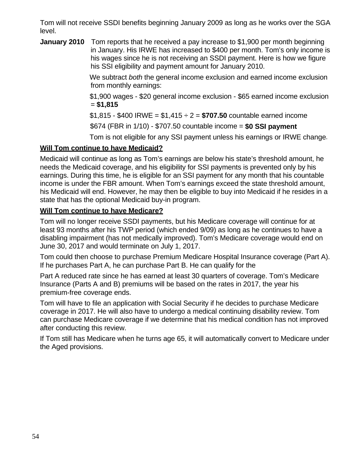Tom will not receive SSDI benefits beginning January 2009 as long as he works over the SGA level.

**January 2010** Tom reports that he received a pay increase to \$1,900 per month beginning in January. His IRWE has increased to \$400 per month. Tom's only income is his wages since he is not receiving an SSDI payment. Here is how we figure his SSI eligibility and payment amount for January 2010.

> We subtract *both* the general income exclusion and earned income exclusion from monthly earnings:

> \$1,900 wages - \$20 general income exclusion - \$65 earned income exclusion = **\$1,815**

\$1,815 - \$400 IRWE = \$1,415 ÷ 2 = **\$707.50** countable earned income

\$674 (FBR in 1/10) - \$707.50 countable income = **\$0 SSI payment**

Tom is not eligible for any SSI payment unless his earnings or IRWE change.

# **Will Tom continue to have Medicaid?**

Medicaid will continue as long as Tom's earnings are below his state's threshold amount, he needs the Medicaid coverage, and his eligibility for SSI payments is prevented only by his earnings. During this time, he is eligible for an SSI payment for any month that his countable income is under the FBR amount. When Tom's earnings exceed the state threshold amount, his Medicaid will end. However, he may then be eligible to buy into Medicaid if he resides in a state that has the optional Medicaid buy-in program.

### **Will Tom continue to have Medicare?**

Tom will no longer receive SSDI payments, but his Medicare coverage will continue for at least 93 months after his TWP period (which ended 9/09) as long as he continues to have a disabling impairment (has not medically improved). Tom's Medicare coverage would end on June 30, 2017 and would terminate on July 1, 2017.

Tom could then choose to purchase Premium Medicare Hospital Insurance coverage (Part A). If he purchases Part A, he can purchase Part B. He can qualify for the

Part A reduced rate since he has earned at least 30 quarters of coverage. Tom's Medicare Insurance (Parts A and B) premiums will be based on the rates in 2017, the year his premium-free coverage ends.

Tom will have to file an application with Social Security if he decides to purchase Medicare coverage in 2017. He will also have to undergo a medical continuing disability review. Tom can purchase Medicare coverage if we determine that his medical condition has not improved after conducting this review.

If Tom still has Medicare when he turns age 65, it will automatically convert to Medicare under the Aged provisions.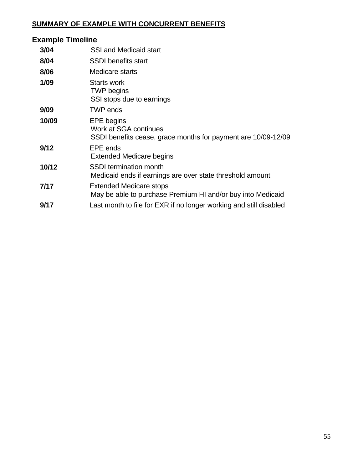## **SUMMARY OF EXAMPLE WITH CONCURRENT BENEFITS**

# **Example Timeline 3/04** SSI and Medicaid start **8/04** SSDI benefits start **8/06** Medicare starts **1/09** Starts work TWP begins SSI stops due to earnings **9/09** TWP ends **10/09** EPE begins Work at SGA continues SSDI benefits cease, grace months for payment are 10/09-12/09 **9/12** EPE ends Extended Medicare begins **10/12** SSDI termination month Medicaid ends if earnings are over state threshold amount **7/17** Extended Medicare stops May be able to purchase Premium HI and/or buy into Medicaid **9/17** Last month to file for EXR if no longer working and still disabled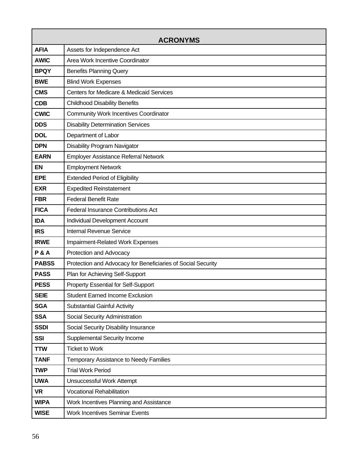<span id="page-59-0"></span>

| <b>ACRONYMS</b> |                                                              |  |  |  |
|-----------------|--------------------------------------------------------------|--|--|--|
| <b>AFIA</b>     | Assets for Independence Act                                  |  |  |  |
| <b>AWIC</b>     | Area Work Incentive Coordinator                              |  |  |  |
| <b>BPQY</b>     | <b>Benefits Planning Query</b>                               |  |  |  |
| <b>BWE</b>      | <b>Blind Work Expenses</b>                                   |  |  |  |
| <b>CMS</b>      | <b>Centers for Medicare &amp; Medicaid Services</b>          |  |  |  |
| <b>CDB</b>      | <b>Childhood Disability Benefits</b>                         |  |  |  |
| <b>CWIC</b>     | <b>Community Work Incentives Coordinator</b>                 |  |  |  |
| <b>DDS</b>      | <b>Disability Determination Services</b>                     |  |  |  |
| <b>DOL</b>      | Department of Labor                                          |  |  |  |
| <b>DPN</b>      | Disability Program Navigator                                 |  |  |  |
| <b>EARN</b>     | <b>Employer Assistance Referral Network</b>                  |  |  |  |
| <b>EN</b>       | <b>Employment Network</b>                                    |  |  |  |
| <b>EPE</b>      | <b>Extended Period of Eligibility</b>                        |  |  |  |
| <b>EXR</b>      | <b>Expedited Reinstatement</b>                               |  |  |  |
| <b>FBR</b>      | <b>Federal Benefit Rate</b>                                  |  |  |  |
| <b>FICA</b>     | <b>Federal Insurance Contributions Act</b>                   |  |  |  |
| <b>IDA</b>      | Individual Development Account                               |  |  |  |
| <b>IRS</b>      | <b>Internal Revenue Service</b>                              |  |  |  |
| <b>IRWE</b>     | Impairment-Related Work Expenses                             |  |  |  |
| <b>P&amp;A</b>  | Protection and Advocacy                                      |  |  |  |
| <b>PABSS</b>    | Protection and Advocacy for Beneficiaries of Social Security |  |  |  |
| <b>PASS</b>     | Plan for Achieving Self-Support                              |  |  |  |
| <b>PESS</b>     | <b>Property Essential for Self-Support</b>                   |  |  |  |
| <b>SEIE</b>     | <b>Student Earned Income Exclusion</b>                       |  |  |  |
| <b>SGA</b>      | <b>Substantial Gainful Activity</b>                          |  |  |  |
| <b>SSA</b>      | Social Security Administration                               |  |  |  |
| <b>SSDI</b>     | Social Security Disability Insurance                         |  |  |  |
| <b>SSI</b>      | <b>Supplemental Security Income</b>                          |  |  |  |
| <b>TTW</b>      | <b>Ticket to Work</b>                                        |  |  |  |
| <b>TANF</b>     | Temporary Assistance to Needy Families                       |  |  |  |
| <b>TWP</b>      | <b>Trial Work Period</b>                                     |  |  |  |
| <b>UWA</b>      | <b>Unsuccessful Work Attempt</b>                             |  |  |  |
| <b>VR</b>       | <b>Vocational Rehabilitation</b>                             |  |  |  |
| <b>WIPA</b>     | Work Incentives Planning and Assistance                      |  |  |  |
| <b>WISE</b>     | <b>Work Incentives Seminar Events</b>                        |  |  |  |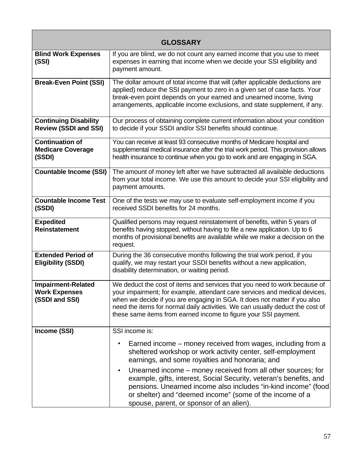<span id="page-60-0"></span>

| <b>GLOSSARY</b>                                                     |                                                                                                                                                                                                                                                                                                                                                                                          |  |  |  |
|---------------------------------------------------------------------|------------------------------------------------------------------------------------------------------------------------------------------------------------------------------------------------------------------------------------------------------------------------------------------------------------------------------------------------------------------------------------------|--|--|--|
| <b>Blind Work Expenses</b><br>(SSI)                                 | If you are blind, we do not count any earned income that you use to meet<br>expenses in earning that income when we decide your SSI eligibility and<br>payment amount.                                                                                                                                                                                                                   |  |  |  |
| <b>Break-Even Point (SSI)</b>                                       | The dollar amount of total income that will (after applicable deductions are<br>applied) reduce the SSI payment to zero in a given set of case facts. Your<br>break-even point depends on your earned and unearned income, living<br>arrangements, applicable income exclusions, and state supplement, if any.                                                                           |  |  |  |
| <b>Continuing Disability</b><br><b>Review (SSDI and SSI)</b>        | Our process of obtaining complete current information about your condition<br>to decide if your SSDI and/or SSI benefits should continue.                                                                                                                                                                                                                                                |  |  |  |
| <b>Continuation of</b><br><b>Medicare Coverage</b><br>(SSDI)        | You can receive at least 93 consecutive months of Medicare hospital and<br>supplemental medical insurance after the trial work period. This provision allows<br>health insurance to continue when you go to work and are engaging in SGA.                                                                                                                                                |  |  |  |
| <b>Countable Income (SSI)</b>                                       | The amount of money left after we have subtracted all available deductions<br>from your total income. We use this amount to decide your SSI eligibility and<br>payment amounts.                                                                                                                                                                                                          |  |  |  |
| <b>Countable Income Test</b><br>(SSDI)                              | One of the tests we may use to evaluate self-employment income if you<br>received SSDI benefits for 24 months.                                                                                                                                                                                                                                                                           |  |  |  |
| <b>Expedited</b><br><b>Reinstatement</b>                            | Qualified persons may request reinstatement of benefits, within 5 years of<br>benefits having stopped, without having to file a new application. Up to 6<br>months of provisional benefits are available while we make a decision on the<br>request.                                                                                                                                     |  |  |  |
| <b>Extended Period of</b><br><b>Eligibility (SSDI)</b>              | During the 36 consecutive months following the trial work period, if you<br>qualify, we may restart your SSDI benefits without a new application,<br>disability determination, or waiting period.                                                                                                                                                                                        |  |  |  |
| <b>Impairment-Related</b><br><b>Work Expenses</b><br>(SSDI and SSI) | We deduct the cost of items and services that you need to work because of<br>your impairment; for example, attendant care services and medical devices,<br>when we decide if you are engaging in SGA. It does not matter if you also<br>need the items for normal daily activities. We can usually deduct the cost of<br>these same items from earned income to figure your SSI payment. |  |  |  |
| Income (SSI)                                                        | SSI income is:                                                                                                                                                                                                                                                                                                                                                                           |  |  |  |
|                                                                     | Earned income – money received from wages, including from a<br>sheltered workshop or work activity center, self-employment<br>earnings, and some royalties and honoraria; and                                                                                                                                                                                                            |  |  |  |
|                                                                     | Unearned income – money received from all other sources; for<br>$\bullet$<br>example, gifts, interest, Social Security, veteran's benefits, and<br>pensions. Unearned income also includes "in-kind income" (food<br>or shelter) and "deemed income" (some of the income of a<br>spouse, parent, or sponsor of an alien).                                                                |  |  |  |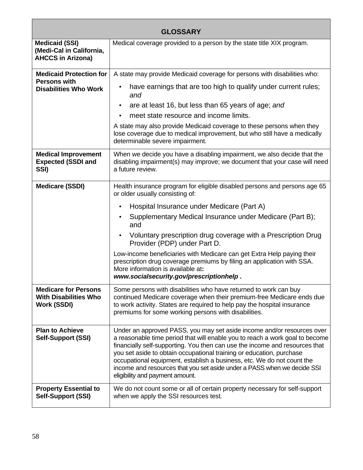| <b>GLOSSARY</b>                                                                   |                                                                                                                                                                                                                                                                                                                                                                                                                                                                                                       |  |  |  |
|-----------------------------------------------------------------------------------|-------------------------------------------------------------------------------------------------------------------------------------------------------------------------------------------------------------------------------------------------------------------------------------------------------------------------------------------------------------------------------------------------------------------------------------------------------------------------------------------------------|--|--|--|
| <b>Medicaid (SSI)</b><br>(Medi-Cal in California,<br><b>AHCCS in Arizona)</b>     | Medical coverage provided to a person by the state title XIX program.                                                                                                                                                                                                                                                                                                                                                                                                                                 |  |  |  |
| <b>Medicaid Protection for</b><br><b>Persons with</b>                             | A state may provide Medicaid coverage for persons with disabilities who:                                                                                                                                                                                                                                                                                                                                                                                                                              |  |  |  |
| <b>Disabilities Who Work</b>                                                      | have earnings that are too high to qualify under current rules;<br>and                                                                                                                                                                                                                                                                                                                                                                                                                                |  |  |  |
|                                                                                   | are at least 16, but less than 65 years of age; and<br>$\bullet$                                                                                                                                                                                                                                                                                                                                                                                                                                      |  |  |  |
|                                                                                   | meet state resource and income limits.                                                                                                                                                                                                                                                                                                                                                                                                                                                                |  |  |  |
|                                                                                   | A state may also provide Medicaid coverage to these persons when they<br>lose coverage due to medical improvement, but who still have a medically<br>determinable severe impairment.                                                                                                                                                                                                                                                                                                                  |  |  |  |
| <b>Medical Improvement</b><br><b>Expected (SSDI and</b><br>SSI)                   | When we decide you have a disabling impairment, we also decide that the<br>disabling impairment(s) may improve; we document that your case will need<br>a future review.                                                                                                                                                                                                                                                                                                                              |  |  |  |
| <b>Medicare (SSDI)</b>                                                            | Health insurance program for eligible disabled persons and persons age 65<br>or older usually consisting of:                                                                                                                                                                                                                                                                                                                                                                                          |  |  |  |
|                                                                                   | Hospital Insurance under Medicare (Part A)<br>$\bullet$                                                                                                                                                                                                                                                                                                                                                                                                                                               |  |  |  |
|                                                                                   | Supplementary Medical Insurance under Medicare (Part B);<br>and                                                                                                                                                                                                                                                                                                                                                                                                                                       |  |  |  |
|                                                                                   | Voluntary prescription drug coverage with a Prescription Drug<br>Provider (PDP) under Part D.                                                                                                                                                                                                                                                                                                                                                                                                         |  |  |  |
|                                                                                   | Low-income beneficiaries with Medicare can get Extra Help paying their<br>prescription drug coverage premiums by filing an application with SSA.<br>More information is available at:<br>www.socialsecurity.gov/prescriptionhelp.                                                                                                                                                                                                                                                                     |  |  |  |
| <b>Medicare for Persons</b><br><b>With Disabilities Who</b><br><b>Work (SSDI)</b> | Some persons with disabilities who have returned to work can buy<br>continued Medicare coverage when their premium-free Medicare ends due<br>to work activity. States are required to help pay the hospital insurance<br>premiums for some working persons with disabilities.                                                                                                                                                                                                                         |  |  |  |
| <b>Plan to Achieve</b><br><b>Self-Support (SSI)</b>                               | Under an approved PASS, you may set aside income and/or resources over<br>a reasonable time period that will enable you to reach a work goal to become<br>financially self-supporting. You then can use the income and resources that<br>you set aside to obtain occupational training or education, purchase<br>occupational equipment, establish a business, etc. We do not count the<br>income and resources that you set aside under a PASS when we decide SSI<br>eligibility and payment amount. |  |  |  |
| <b>Property Essential to</b><br><b>Self-Support (SSI)</b>                         | We do not count some or all of certain property necessary for self-support<br>when we apply the SSI resources test.                                                                                                                                                                                                                                                                                                                                                                                   |  |  |  |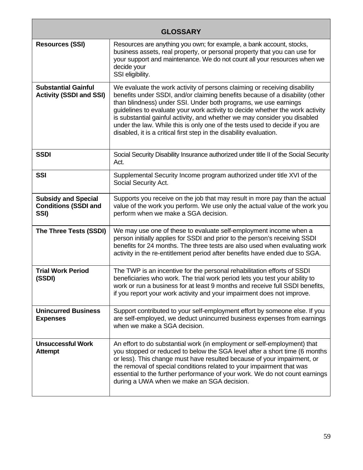| <b>GLOSSARY</b>                                                   |                                                                                                                                                                                                                                                                                                                                                                                                                                                                                                                                                   |  |  |  |
|-------------------------------------------------------------------|---------------------------------------------------------------------------------------------------------------------------------------------------------------------------------------------------------------------------------------------------------------------------------------------------------------------------------------------------------------------------------------------------------------------------------------------------------------------------------------------------------------------------------------------------|--|--|--|
| <b>Resources (SSI)</b>                                            | Resources are anything you own; for example, a bank account, stocks,<br>business assets, real property, or personal property that you can use for<br>your support and maintenance. We do not count all your resources when we<br>decide your<br>SSI eligibility.                                                                                                                                                                                                                                                                                  |  |  |  |
| <b>Substantial Gainful</b><br><b>Activity (SSDI and SSI)</b>      | We evaluate the work activity of persons claiming or receiving disability<br>benefits under SSDI, and/or claiming benefits because of a disability (other<br>than blindness) under SSI. Under both programs, we use earnings<br>guidelines to evaluate your work activity to decide whether the work activity<br>is substantial gainful activity, and whether we may consider you disabled<br>under the law. While this is only one of the tests used to decide if you are<br>disabled, it is a critical first step in the disability evaluation. |  |  |  |
| <b>SSDI</b>                                                       | Social Security Disability Insurance authorized under title II of the Social Security<br>Act.                                                                                                                                                                                                                                                                                                                                                                                                                                                     |  |  |  |
| <b>SSI</b>                                                        | Supplemental Security Income program authorized under title XVI of the<br>Social Security Act.                                                                                                                                                                                                                                                                                                                                                                                                                                                    |  |  |  |
| <b>Subsidy and Special</b><br><b>Conditions (SSDI and</b><br>SSI) | Supports you receive on the job that may result in more pay than the actual<br>value of the work you perform. We use only the actual value of the work you<br>perform when we make a SGA decision.                                                                                                                                                                                                                                                                                                                                                |  |  |  |
| The Three Tests (SSDI)                                            | We may use one of these to evaluate self-employment income when a<br>person initially applies for SSDI and prior to the person's receiving SSDI<br>benefits for 24 months. The three tests are also used when evaluating work<br>activity in the re-entitlement period after benefits have ended due to SGA.                                                                                                                                                                                                                                      |  |  |  |
| <b>Trial Work Period</b><br>(SSDI)                                | The TWP is an incentive for the personal rehabilitation efforts of SSDI<br>beneficiaries who work. The trial work period lets you test your ability to<br>work or run a business for at least 9 months and receive full SSDI benefits,<br>if you report your work activity and your impairment does not improve.                                                                                                                                                                                                                                  |  |  |  |
| <b>Unincurred Business</b><br><b>Expenses</b>                     | Support contributed to your self-employment effort by someone else. If you<br>are self-employed, we deduct unincurred business expenses from earnings<br>when we make a SGA decision.                                                                                                                                                                                                                                                                                                                                                             |  |  |  |
| <b>Unsuccessful Work</b><br><b>Attempt</b>                        | An effort to do substantial work (in employment or self-employment) that<br>you stopped or reduced to below the SGA level after a short time (6 months<br>or less). This change must have resulted because of your impairment, or<br>the removal of special conditions related to your impairment that was<br>essential to the further performance of your work. We do not count earnings<br>during a UWA when we make an SGA decision.                                                                                                           |  |  |  |